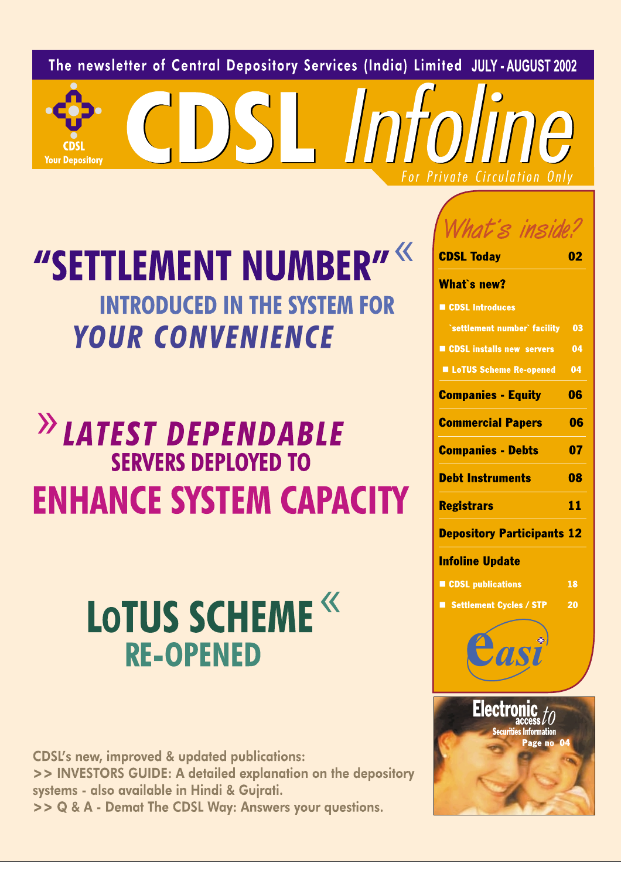The newsletter of Central Depository Services (India) Limited JULY-AUGUST 2002

CDSLInto

"SETTLEMENT NUMBER" **INTRODUCED IN THE SYSTEM FOR YOUR CONVENIENCE** 

**Your Depository** 

# <sup>>></sup>LATEST DEPENDABLE **SERVERS DEPLOYED TO ENHANCE SYSTEM CAPACITY**

# **LOTUS SCHEME<sup>«</sup> RE-OPENED**

**CDSL's new, improved & updated publications:** >> INVESTORS GUIDE: A detailed explanation on the depository systems - also available in Hindi & Gujrati. >> Q & A - Demat The CDSL Way: Answers your questions.

| ins                                                          |    |
|--------------------------------------------------------------|----|
| <b>CDSL Today</b>                                            |    |
| <b>What`s new?</b>                                           |    |
| CDSL Introduces                                              |    |
| `settlement number` facility 03                              |    |
| CDSL installs new servers                                    | 04 |
| <b>LoTUS Scheme Re-opened</b>                                | 04 |
| <b>Companies - Equity</b>                                    | 06 |
| <b>Commercial Papers</b>                                     | 06 |
| <b>Companies - Debts</b>                                     | 07 |
| <b>Debt Instruments</b>                                      | 08 |
| <b>Registrars</b>                                            | 11 |
| <b>Depository Participants 12</b>                            |    |
| <b>Infoline Update</b>                                       |    |
| CDSL publications                                            | 18 |
| Settlement Cycles / STP                                      | 20 |
|                                                              |    |
| Electronic to<br><b>Securities Information</b><br>Page no 04 |    |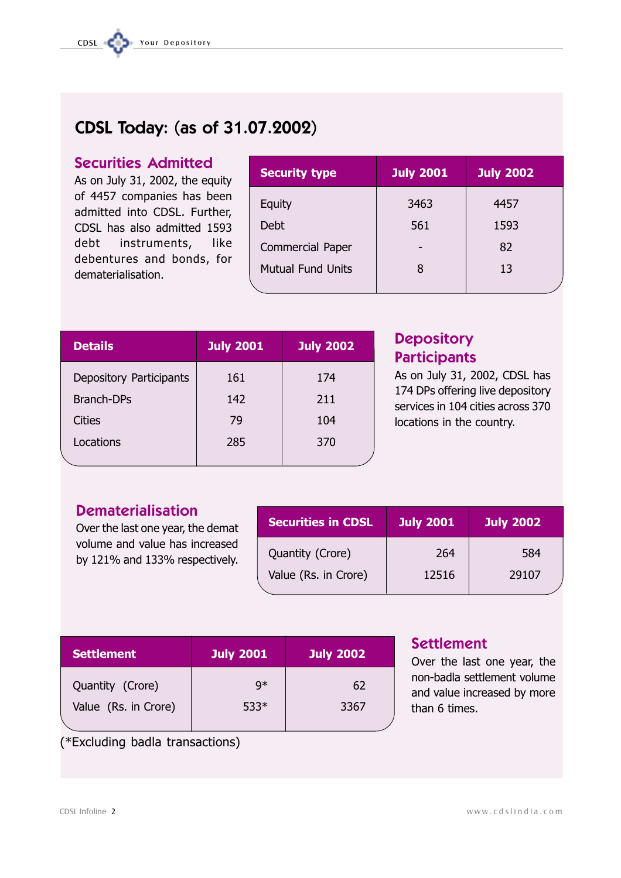# CDSL Today: (as of 31.07.2002)

# **Securities Admitted**

As on July 31, 2002, the equity of 4457 companies has been admitted into CDSL. Further, CDSL has also admitted 1593 debt instruments, **like** debentures and bonds, for dematerialisation.

| <b>Security type</b>     | <b>July 2001</b> | <b>July 2002</b> |
|--------------------------|------------------|------------------|
| Equity                   | 3463             | 4457             |
| Debt                     | 561              | 1593             |
| Commercial Paper         |                  | 82               |
| <b>Mutual Fund Units</b> | 8                | 13               |
|                          |                  |                  |

| <b>Details</b>          | <b>July 2001</b> | <b>July 2002</b> |
|-------------------------|------------------|------------------|
| Depository Participants | 161              | 174              |
| <b>Branch-DPs</b>       | 142              | 211              |
| <b>Cities</b>           | 79               | 104              |
| Locations               | 285              | 370              |
|                         |                  |                  |

# **Depository Participants**

As on July 31, 2002, CDSL has 174 DPs offering live depository services in 104 cities across 370 locations in the country.

# **Dematerialisation**

Over the last one year, the demat volume and value has increased by 121% and 133% respectively.

| <b>Securities in CDSL</b> | <b>July 2001</b> | <b>July 2002</b> |
|---------------------------|------------------|------------------|
| Quantity (Crore)          | 264              | 584              |
| Value (Rs. in Crore)      | 12516            | 29107            |

| <b>Settlement</b>    | <b>July 2001</b> | <b>July 2002</b> |
|----------------------|------------------|------------------|
| Quantity (Crore)     | q*               | 62               |
| Value (Rs. in Crore) | $533*$           | 3367             |
|                      |                  |                  |

# **Settlement**

Over the last one year, the non-badla settlement volume and value increased by more than 6 times.

# (\*Excluding badla transactions)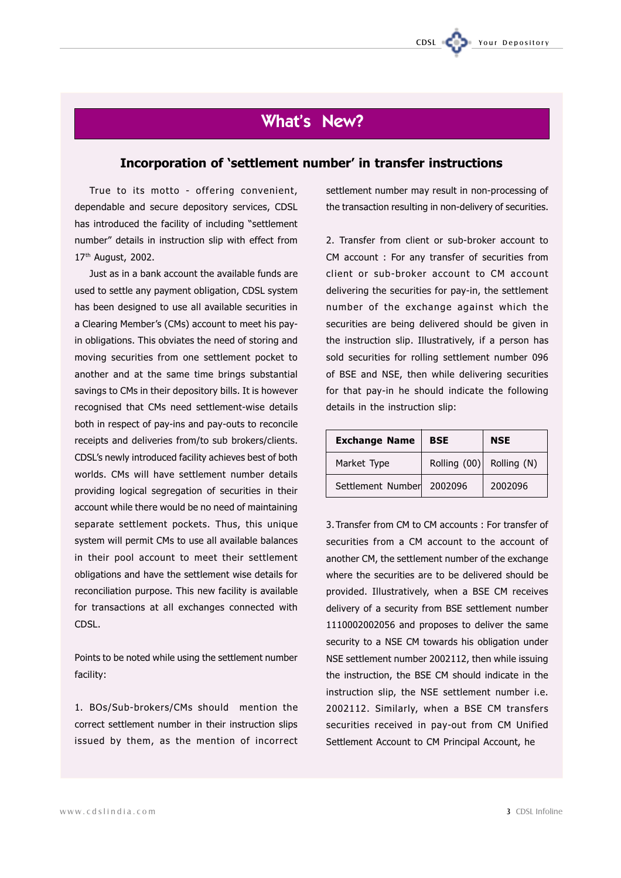# What's New?

# Incorporation of 'settlement number' in transfer instructions

True to its motto - offering convenient, dependable and secure depository services, CDSL has introduced the facility of including "settlement number" details in instruction slip with effect from 17<sup>th</sup> August, 2002.

Just as in a bank account the available funds are used to settle any payment obligation, CDSL system has been designed to use all available securities in a Clearing Member's (CMs) account to meet his payin obligations. This obviates the need of storing and moving securities from one settlement pocket to another and at the same time brings substantial savings to CMs in their depository bills. It is however recognised that CMs need settlement-wise details both in respect of pay-ins and pay-outs to reconcile receipts and deliveries from/to sub brokers/clients. CDSL's newly introduced facility achieves best of both worlds. CMs will have settlement number details providing logical segregation of securities in their account while there would be no need of maintaining separate settlement pockets. Thus, this unique system will permit CMs to use all available balances in their pool account to meet their settlement obligations and have the settlement wise details for reconciliation purpose. This new facility is available for transactions at all exchanges connected with CDSL.

Points to be noted while using the settlement number facility:

1. BOs/Sub-brokers/CMs should mention the correct settlement number in their instruction slips issued by them, as the mention of incorrect settlement number may result in non-processing of the transaction resulting in non-delivery of securities.

CDSL

Your Depository

2. Transfer from client or sub-broker account to CM account : For any transfer of securities from client or sub-broker account to CM account delivering the securities for pay-in, the settlement number of the exchange against which the securities are being delivered should be given in the instruction slip. Illustratively, if a person has sold securities for rolling settlement number 096 of BSE and NSE, then while delivering securities for that pay-in he should indicate the following details in the instruction slip:

| <b>Exchange Name</b> | <b>BSE</b>     | NSE         |
|----------------------|----------------|-------------|
| Market Type          | Rolling $(00)$ | Rolling (N) |
| Settlement Number    | 2002096        | 2002096     |

3. Transfer from CM to CM accounts: For transfer of securities from a CM account to the account of another CM, the settlement number of the exchange where the securities are to be delivered should be provided. Illustratively, when a BSE CM receives delivery of a security from BSE settlement number 1110002002056 and proposes to deliver the same security to a NSE CM towards his obligation under NSE settlement number 2002112, then while issuing the instruction, the BSE CM should indicate in the instruction slip, the NSE settlement number i.e. 2002112. Similarly, when a BSE CM transfers securities received in pay-out from CM Unified Settlement Account to CM Principal Account, he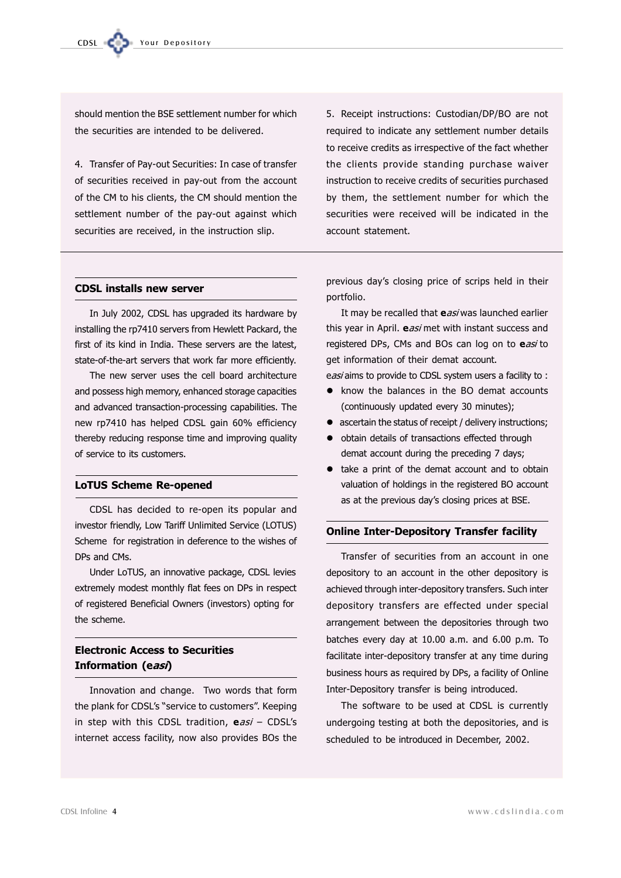should mention the BSE settlement number for which the securities are intended to be delivered.

4. Transfer of Pay-out Securities: In case of transfer of securities received in pay-out from the account of the CM to his clients, the CM should mention the settlement number of the pay-out against which securities are received, in the instruction slip.

5. Receipt instructions: Custodian/DP/BO are not required to indicate any settlement number details to receive credits as irrespective of the fact whether the clients provide standing purchase waiver instruction to receive credits of securities purchased by them, the settlement number for which the securities were received will be indicated in the account statement.

### **CDSL installs new server**

In July 2002, CDSL has upgraded its hardware by installing the rp7410 servers from Hewlett Packard, the first of its kind in India. These servers are the latest, state-of-the-art servers that work far more efficiently.

The new server uses the cell board architecture and possess high memory, enhanced storage capacities and advanced transaction-processing capabilities. The new rp7410 has helped CDSL gain 60% efficiency thereby reducing response time and improving quality of service to its customers.

### **LoTUS Scheme Re-opened**

CDSL has decided to re-open its popular and investor friendly, Low Tariff Unlimited Service (LOTUS) Scheme for registration in deference to the wishes of DPs and CMs.

Under LoTUS, an innovative package, CDSL levies extremely modest monthly flat fees on DPs in respect of registered Beneficial Owners (investors) opting for the scheme.

# **Electronic Access to Securities** Information (easi)

Innovation and change. Two words that form the plank for CDSL's "service to customers". Keeping in step with this CDSL tradition, easi - CDSL's internet access facility, now also provides BOs the

previous day's closing price of scrips held in their portfolio.

It may be recalled that easi was launched earlier this vear in April. easi met with instant success and registered DPs, CMs and BOs can log on to easi to get information of their demat account.

easi aims to provide to CDSL system users a facility to:

- know the balances in the BO demat accounts (continuously updated every 30 minutes);
- ascertain the status of receipt / delivery instructions;
- · obtain details of transactions effected through demat account during the preceding 7 days:
- take a print of the demat account and to obtain valuation of holdings in the registered BO account as at the previous day's closing prices at BSE.

### **Online Inter-Depository Transfer facility**

Transfer of securities from an account in one depository to an account in the other depository is achieved through inter-depository transfers. Such inter depository transfers are effected under special arrangement between the depositories through two batches every day at 10.00 a.m. and 6.00 p.m. To facilitate inter-depository transfer at any time during business hours as required by DPs, a facility of Online Inter-Depository transfer is being introduced.

The software to be used at CDSL is currently undergoing testing at both the depositories, and is scheduled to be introduced in December, 2002.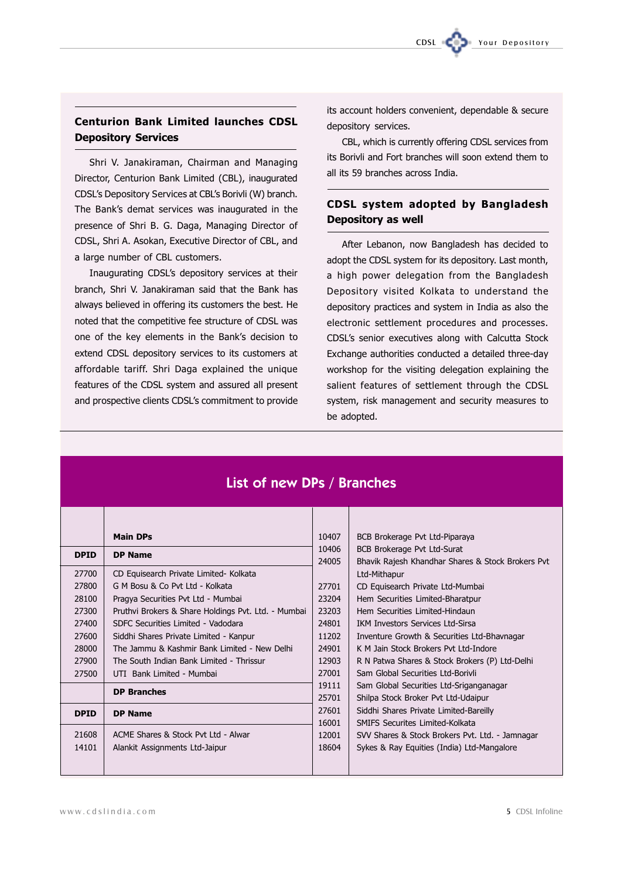# **Centurion Bank Limited launches CDSL Depository Services**

Shri V. Janakiraman, Chairman and Managing Director, Centurion Bank Limited (CBL), inaugurated CDSL's Depository Services at CBL's Borivli (W) branch. The Bank's demat services was inaugurated in the presence of Shri B. G. Daga, Managing Director of CDSL, Shri A. Asokan, Executive Director of CBL, and a large number of CBL customers.

Inaugurating CDSL's depository services at their branch, Shri V. Janakiraman said that the Bank has always believed in offering its customers the best. He noted that the competitive fee structure of CDSL was one of the key elements in the Bank's decision to extend CDSL depository services to its customers at affordable tariff. Shri Daga explained the unique features of the CDSL system and assured all present and prospective clients CDSL's commitment to provide

its account holders convenient, dependable & secure depository services.

CDSL

CBL, which is currently offering CDSL services from its Borivli and Fort branches will soon extend them to all its 59 branches across India.

# **CDSL system adopted by Bangladesh** Depository as well

After Lebanon, now Bangladesh has decided to adopt the CDSL system for its depository. Last month, a high power delegation from the Bangladesh Depository visited Kolkata to understand the depository practices and system in India as also the electronic settlement procedures and processes. CDSL's senior executives along with Calcutta Stock Exchange authorities conducted a detailed three-day workshop for the visiting delegation explaining the salient features of settlement through the CDSL system, risk management and security measures to be adopted.

# List of new DPs / Branches

|             | <b>Main DPs</b>                                     | 10407 | BCB Brokerage Pvt Ltd-Piparaya                    |
|-------------|-----------------------------------------------------|-------|---------------------------------------------------|
| <b>DPID</b> | <b>DP Name</b>                                      | 10406 | BCB Brokerage Pvt Ltd-Surat                       |
|             |                                                     | 24005 | Bhavik Rajesh Khandhar Shares & Stock Brokers Pvt |
| 27700       | CD Equisearch Private Limited- Kolkata              |       | Ltd-Mithapur                                      |
| 27800       | G M Bosu & Co Pvt Ltd - Kolkata                     | 27701 | CD Equisearch Private Ltd-Mumbai                  |
| 28100       | Pragya Securities Pvt Ltd - Mumbai                  | 23204 | Hem Securities Limited-Bharatpur                  |
| 27300       | Pruthvi Brokers & Share Holdings Pvt. Ltd. - Mumbai | 23203 | Hem Securities Limited-Hindaun                    |
| 27400       | SDFC Securities Limited - Vadodara                  | 24801 | <b>IKM Investors Services Ltd-Sirsa</b>           |
| 27600       | Siddhi Shares Private Limited - Kanpur              | 11202 | Inventure Growth & Securities Ltd-Bhavnagar       |
| 28000       | The Jammu & Kashmir Bank Limited - New Delhi        | 24901 | K M Jain Stock Brokers Pvt Ltd-Indore             |
| 27900       | The South Indian Bank Limited - Thrissur            | 12903 | R N Patwa Shares & Stock Brokers (P) Ltd-Delhi    |
| 27500       | UTI Bank Limited - Mumbai                           | 27001 | Sam Global Securities Ltd-Borivli                 |
|             | <b>DP Branches</b>                                  | 19111 | Sam Global Securities Ltd-Sriganganagar           |
|             |                                                     | 25701 | Shilpa Stock Broker Pvt Ltd-Udaipur               |
| <b>DPID</b> | <b>DP Name</b>                                      | 27601 | Siddhi Shares Private Limited-Bareilly            |
|             |                                                     | 16001 | SMIFS Securites Limited-Kolkata                   |
| 21608       | ACME Shares & Stock Pyt Ltd - Alwar                 | 12001 | SVV Shares & Stock Brokers Pvt. Ltd. - Jamnagar   |
| 14101       | Alankit Assignments Ltd-Jaipur                      | 18604 | Sykes & Ray Equities (India) Ltd-Mangalore        |
|             |                                                     |       |                                                   |
|             |                                                     |       |                                                   |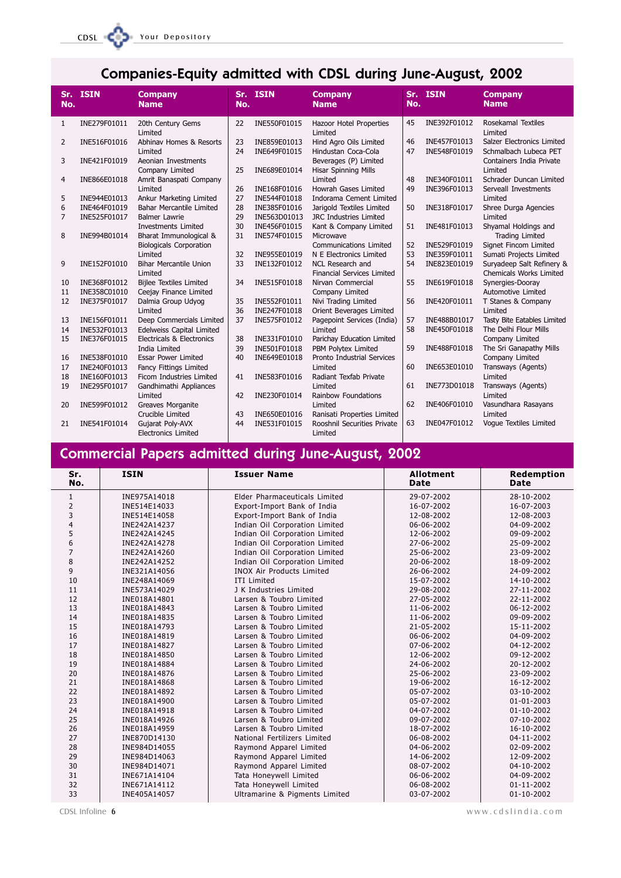#### Your Depository  $CDSL = C$

# Companies-Equity admitted with CDSL during June-August, 2002

| No.            | Sr. ISIN                     | <b>Company</b><br><b>Name</b>                          | Sr.<br>No. | <b>ISIN</b>  | <b>Company</b><br><b>Name</b>          | No.      | Sr. ISIN                     | <b>Company</b><br><b>Name</b>                        |
|----------------|------------------------------|--------------------------------------------------------|------------|--------------|----------------------------------------|----------|------------------------------|------------------------------------------------------|
| 1              | INE279F01011                 | 20th Century Gems<br>Limited                           | 22         | INE550F01015 | Hazoor Hotel Properties<br>Limited     | 45       | INE392F01012                 | Rosekamal Textiles<br>Limited                        |
| $\overline{2}$ | INE516F01016                 | Abhinav Homes & Resorts                                | 23         | INE859E01013 | Hind Agro Oils Limited                 | 46       | INE457F01013                 | Salzer Electronics Limited                           |
|                |                              | Limited                                                | 24         | INE649F01015 | Hindustan Coca-Cola                    | 47       | INE548F01019                 | Schmalbach Lubeca PET                                |
| 3              | INE421F01019                 | Aeonian Investments                                    |            |              | Beverages (P) Limited                  |          |                              | Containers India Private                             |
|                |                              | Company Limited                                        | 25         | INE689E01014 | <b>Hisar Spinning Mills</b>            |          |                              | Limited                                              |
| 4              | INE866E01018                 | Amrit Banaspati Company<br>Limited                     | 26         | INE168F01016 | Limited<br>Howrah Gases Limited        | 48<br>49 | INE340F01011<br>INE396F01013 | Schrader Duncan Limited<br>Serveall Investments      |
| 5              | INE944E01013                 | Ankur Marketing Limited                                | 27         | INE544F01018 | Indorama Cement Limited                |          |                              | Limited                                              |
| 6              | INE464F01019                 | Bahar Mercantile Limited                               | 28         | INE385F01016 | Jarigold Textiles Limited              | 50       | INE318F01017                 | Shree Durga Agencies                                 |
| 7              | INE525F01017                 | <b>Balmer Lawrie</b>                                   | 29         | INE563D01013 | JRC Industries Limited                 |          |                              | Limited                                              |
|                |                              | <b>Investments Limited</b>                             | 30         | INE456F01015 | Kant & Company Limited                 | 51       | INE481F01013                 | Shyamal Holdings and                                 |
| 8              | INE994B01014                 | Bharat Immunological &                                 | 31         | INE574F01015 | Microwave                              |          |                              | <b>Trading Limited</b>                               |
|                |                              | <b>Biologicals Corporation</b>                         |            |              | <b>Communications Limited</b>          | 52       | INE529F01019                 | Signet Fincom Limited                                |
|                |                              | Limited                                                | 32         | INE955E01019 | N E Electronics Limited                | 53       | INE359F01011                 | Sumati Projects Limited                              |
| 9              | INE152F01010                 | <b>Bihar Mercantile Union</b>                          | 33         | INE132F01012 | NCL Research and                       | 54       | INE823E01019                 | Suryadeep Salt Refinery &                            |
|                |                              | Limited                                                |            |              | <b>Financial Services Limited</b>      |          |                              | <b>Chemicals Works Limited</b>                       |
| 10             | INE368F01012                 | <b>Bijlee Textiles Limited</b>                         | 34         | INE515F01018 | Nirvan Commercial                      | 55       | INE619F01018                 | Synergies-Dooray                                     |
| 11             | INE358C01010                 | Ceejay Finance Limited                                 |            |              | Company Limited                        |          |                              | Automotive Limited                                   |
| 12             | INE375F01017                 | Dalmia Group Udyog                                     | 35         | INE552F01011 | Nivi Trading Limited                   | 56       | INE420F01011                 | T Stanes & Company                                   |
|                |                              | Limited                                                | 36         | INE247F01018 | Orient Beverages Limited               |          |                              | Limited                                              |
| 13             | INE156F01011                 | Deep Commercials Limited                               | 37         | INE575F01012 | Pagepoint Services (India)             | 57<br>58 | INE488B01017                 | Tasty Bite Eatables Limited<br>The Delhi Flour Mills |
| 14<br>15       | INE532F01013<br>INE376F01015 | Edelweiss Capital Limited<br>Electricals & Electronics | 38         | INE331F01010 | Limited<br>Parichay Education Limited  |          | INE450F01018                 | Company Limited                                      |
|                |                              | India Limited                                          | 39         | INE501F01018 | PBM Polytex Limited                    | 59       | INE488F01018                 | The Sri Ganapathy Mills                              |
| 16             | INE538F01010                 | <b>Essar Power Limited</b>                             | 40         | INE649E01018 | <b>Pronto Industrial Services</b>      |          |                              | Company Limited                                      |
| 17             | INE240F01013                 | Fancy Fittings Limited                                 |            |              | Limited                                | 60       | INE653E01010                 | Transways (Agents)                                   |
| 18             | INE160F01013                 | Ficom Industries Limited                               | 41         | INE583F01016 | Radiant Texfab Private                 |          |                              | Limited                                              |
| 19             | INE295F01017                 | Gandhimathi Appliances                                 |            |              | Limited                                | 61       | INE773D01018                 | Transways (Agents)                                   |
|                |                              | Limited                                                | 42         | INE230F01014 | Rainbow Foundations                    |          |                              | Limited                                              |
| 20             | INE599F01012                 | Greaves Morganite                                      |            |              | Limited                                | 62       | INE406F01010                 | Vasundhara Rasayans                                  |
|                |                              | Crucible Limited                                       | 43         | INE650E01016 | Ranisati Properties Limited            |          |                              | Limited                                              |
| 21             | INE541F01014                 | Gujarat Poly-AVX<br><b>Electronics Limited</b>         | 44         | INE531F01015 | Rooshnil Securities Private<br>Limited | 63       | INE047F01012                 | Voque Textiles Limited                               |

# **Commercial Papers admitted during June-August, 2002**

| Sr.<br>No.     | <b>ISIN</b>  | <b>Issuer Name</b>               | <b>Allotment</b><br>Date | <b>Redemption</b><br><b>Date</b> |
|----------------|--------------|----------------------------------|--------------------------|----------------------------------|
| $\mathbf{1}$   | INE975A14018 | Elder Pharmaceuticals Limited    | 29-07-2002               | 28-10-2002                       |
| $\overline{2}$ | INE514E14033 | Export-Import Bank of India      | 16-07-2002               | 16-07-2003                       |
| 3              | INE514E14058 | Export-Import Bank of India      | 12-08-2002               | 12-08-2003                       |
| 4              | INE242A14237 | Indian Oil Corporation Limited   | 06-06-2002               | 04-09-2002                       |
| 5              | INE242A14245 | Indian Oil Corporation Limited   | 12-06-2002               | 09-09-2002                       |
| 6              | INE242A14278 | Indian Oil Corporation Limited   | 27-06-2002               | 25-09-2002                       |
| $\overline{7}$ | INE242A14260 | Indian Oil Corporation Limited   | 25-06-2002               | 23-09-2002                       |
| 8              | INE242A14252 | Indian Oil Corporation Limited   | 20-06-2002               | 18-09-2002                       |
| 9              | INE321A14056 | <b>INOX Air Products Limited</b> | 26-06-2002               | 24-09-2002                       |
| 10             | INE248A14069 | ITI Limited                      | 15-07-2002               | 14-10-2002                       |
| 11             | INE573A14029 | J K Industries Limited           | 29-08-2002               | 27-11-2002                       |
| 12             | INE018A14801 | Larsen & Toubro Limited          | 27-05-2002               | 22-11-2002                       |
| 13             | INE018A14843 | Larsen & Toubro Limited          | 11-06-2002               | 06-12-2002                       |
| 14             | INE018A14835 | Larsen & Toubro Limited          | 11-06-2002               | 09-09-2002                       |
| 15             | INE018A14793 | Larsen & Toubro Limited          | 21-05-2002               | 15-11-2002                       |
| 16             | INE018A14819 | Larsen & Toubro Limited          | 06-06-2002               | 04-09-2002                       |
| 17             | INE018A14827 | Larsen & Toubro Limited          | 07-06-2002               | 04-12-2002                       |
| 18             | INE018A14850 | Larsen & Toubro Limited          | 12-06-2002               | 09-12-2002                       |
| 19             | INE018A14884 | Larsen & Toubro Limited          | 24-06-2002               | 20-12-2002                       |
| 20             | INE018A14876 | Larsen & Toubro Limited          | 25-06-2002               | 23-09-2002                       |
| 21             | INE018A14868 | Larsen & Toubro Limited          | 19-06-2002               | 16-12-2002                       |
| 22             | INE018A14892 | Larsen & Toubro Limited          | 05-07-2002               | 03-10-2002                       |
| 23             | INE018A14900 | Larsen & Toubro Limited          | 05-07-2002               | $01 - 01 - 2003$                 |
| 24             | INE018A14918 | Larsen & Toubro Limited          | 04-07-2002               | $01 - 10 - 2002$                 |
| 25             | INE018A14926 | Larsen & Toubro Limited          | 09-07-2002               | 07-10-2002                       |
| 26             | INE018A14959 | Larsen & Toubro Limited          | 18-07-2002               | 16-10-2002                       |
| 27             | INE870D14130 | National Fertilizers Limited     | 06-08-2002               | 04-11-2002                       |
| 28             | INE984D14055 | Raymond Apparel Limited          | 04-06-2002               | 02-09-2002                       |
| 29             | INE984D14063 | Raymond Apparel Limited          | 14-06-2002               | 12-09-2002                       |
| 30             | INE984D14071 | Raymond Apparel Limited          | 08-07-2002               | 04-10-2002                       |
| 31             | INE671A14104 | Tata Honeywell Limited           | 06-06-2002               | 04-09-2002                       |
| 32             | INE671A14112 | Tata Honeywell Limited           | 06-08-2002               | $01 - 11 - 2002$                 |
| 33             | INE405A14057 | Ultramarine & Pigments Limited   | 03-07-2002               | $01 - 10 - 2002$                 |

www.cdslindia.com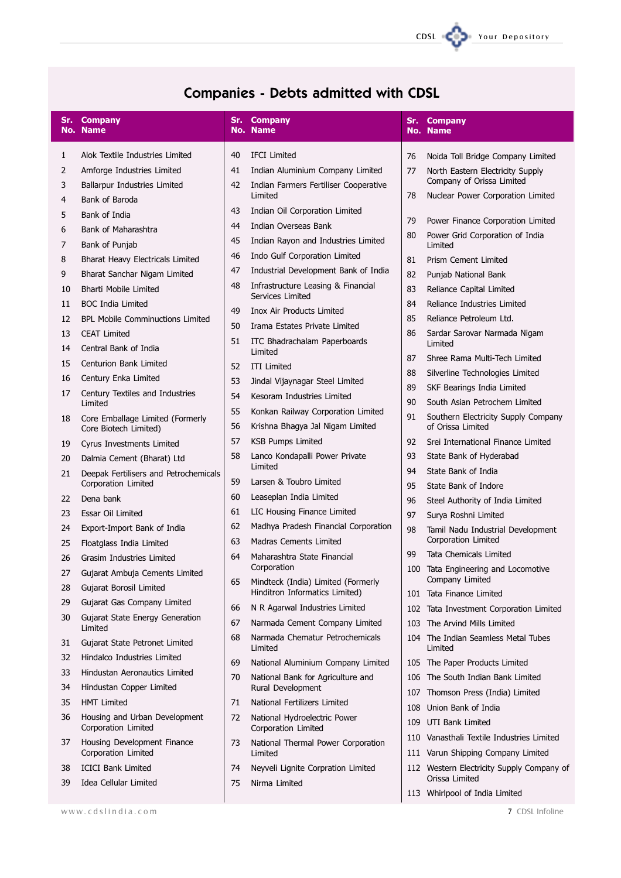

# **Companies - Debts admitted with CDSL**

|          | <b>Sr. Company</b><br><b>No. Name</b>                     |          | Sr. Company<br><b>No. Name</b>                                         |     | Sr. Company<br><b>No. Name</b>                              |
|----------|-----------------------------------------------------------|----------|------------------------------------------------------------------------|-----|-------------------------------------------------------------|
| 1        | Alok Textile Industries Limited                           | 40       | <b>IFCI Limited</b>                                                    | 76  | Noida Toll Bridge Company Limited                           |
| 2        | Amforge Industries Limited                                | 41       | Indian Aluminium Company Limited                                       | 77  | North Eastern Electricity Supply                            |
| 3        | Ballarpur Industries Limited                              | 42       | Indian Farmers Fertiliser Cooperative                                  |     | Company of Orissa Limited                                   |
| 4        | Bank of Baroda                                            |          | Limited                                                                | 78  | Nuclear Power Corporation Limited                           |
| 5        | Bank of India                                             | 43       | Indian Oil Corporation Limited                                         | 79  | Power Finance Corporation Limited                           |
| 6        | Bank of Maharashtra                                       | 44       | Indian Overseas Bank                                                   | 80  | Power Grid Corporation of India                             |
| 7        | Bank of Punjab                                            | 45       | Indian Rayon and Industries Limited<br>Indo Gulf Corporation Limited   |     | Limited                                                     |
| 8        | Bharat Heavy Electricals Limited                          | 46<br>47 | Industrial Development Bank of India                                   | 81  | Prism Cement Limited                                        |
| 9        | Bharat Sanchar Nigam Limited                              | 48       | Infrastructure Leasing & Financial                                     | 82  | Punjab National Bank                                        |
| 10       | <b>Bharti Mobile Limited</b>                              |          | Services Limited                                                       | 83  | Reliance Capital Limited                                    |
| 11       | <b>BOC India Limited</b>                                  | 49       | <b>Inox Air Products Limited</b>                                       | 84  | Reliance Industries Limited                                 |
| 12       | <b>BPL Mobile Comminuctions Limited</b>                   | 50       | Irama Estates Private Limited                                          | 85  | Reliance Petroleum Ltd.                                     |
| 13       | <b>CEAT Limited</b>                                       | 51       | ITC Bhadrachalam Paperboards                                           | 86  | Sardar Sarovar Narmada Nigam<br>Limited                     |
| 14       | Central Bank of India                                     |          | Limited                                                                | 87  | Shree Rama Multi-Tech Limited                               |
| 15       | Centurion Bank Limited                                    | 52       | <b>ITI Limited</b>                                                     | 88  | Silverline Technologies Limited                             |
| 16       | Century Enka Limited                                      | 53       | Jindal Vijaynagar Steel Limited                                        | 89  | SKF Bearings India Limited                                  |
| 17       | Century Textiles and Industries<br>Limited                | 54       | Kesoram Industries Limited                                             | 90  | South Asian Petrochem Limited                               |
| 18       | Core Emballage Limited (Formerly<br>Core Biotech Limited) | 55<br>56 | Konkan Railway Corporation Limited<br>Krishna Bhagya Jal Nigam Limited | 91  | Southern Electricity Supply Company<br>of Orissa Limited    |
| 19       | Cyrus Investments Limited                                 | 57       | <b>KSB Pumps Limited</b>                                               | 92  | Srei International Finance Limited                          |
| 20       | Dalmia Cement (Bharat) Ltd                                | 58       | Lanco Kondapalli Power Private                                         | 93  | State Bank of Hyderabad                                     |
| 21       | Deepak Fertilisers and Petrochemicals                     |          | Limited                                                                | 94  | State Bank of India                                         |
|          | Corporation Limited                                       | 59       | Larsen & Toubro Limited                                                | 95  | State Bank of Indore                                        |
| 22       | Dena bank                                                 | 60       | Leaseplan India Limited                                                | 96  | Steel Authority of India Limited                            |
| 23       | Essar Oil Limited                                         | 61       | LIC Housing Finance Limited                                            | 97  | Surya Roshni Limited                                        |
| 24       | Export-Import Bank of India                               | 62       | Madhya Pradesh Financial Corporation                                   | 98  | Tamil Nadu Industrial Development<br>Corporation Limited    |
| 25       | Floatglass India Limited                                  | 63       | Madras Cements Limited                                                 | 99  | Tata Chemicals Limited                                      |
| 26       | Grasim Industries Limited                                 | 64       | Maharashtra State Financial<br>Corporation                             | 100 | Tata Engineering and Locomotive                             |
| 27       | Gujarat Ambuja Cements Limited                            | 65       | Mindteck (India) Limited (Formerly                                     |     | Company Limited                                             |
| 28       | Gujarat Borosil Limited                                   |          | Hinditron Informatics Limited)                                         |     | 101 Tata Finance Limited                                    |
| 29       | Gujarat Gas Company Limited                               | 66       | N R Agarwal Industries Limited                                         |     | 102 Tata Investment Corporation Limited                     |
| 30       | Gujarat State Energy Generation<br>Limited                | 67       | Narmada Cement Company Limited                                         | 103 | The Arvind Mills Limited                                    |
| 31       | Gujarat State Petronet Limited                            | 68       | Narmada Chematur Petrochemicals<br>Limited                             | 104 | The Indian Seamless Metal Tubes<br>Limited                  |
| 32       | Hindalco Industries Limited                               | 69       | National Aluminium Company Limited                                     |     | 105 The Paper Products Limited                              |
| 33       | Hindustan Aeronautics Limited                             | 70       | National Bank for Agriculture and                                      |     | 106 The South Indian Bank Limited                           |
| 34       | Hindustan Copper Limited                                  |          | Rural Development                                                      |     | 107 Thomson Press (India) Limited                           |
| 35       | <b>HMT Limited</b>                                        | 71       | National Fertilizers Limited                                           | 108 | Union Bank of India                                         |
| 36       | Housing and Urban Development<br>Corporation Limited      | 72       | National Hydroelectric Power<br>Corporation Limited                    | 109 | UTI Bank Limited                                            |
| 37       | Housing Development Finance                               | 73       | National Thermal Power Corporation                                     |     | 110 Vanasthali Textile Industries Limited                   |
|          | Corporation Limited                                       |          | Limited                                                                |     | 111 Varun Shipping Company Limited                          |
| 38<br>39 | <b>ICICI Bank Limited</b><br>Idea Cellular Limited        | 74<br>75 | Neyveli Lignite Corpration Limited<br>Nirma Limited                    |     | 112 Western Electricity Supply Company of<br>Orissa Limited |
|          |                                                           |          |                                                                        |     | 113 Whirlpool of India Limited                              |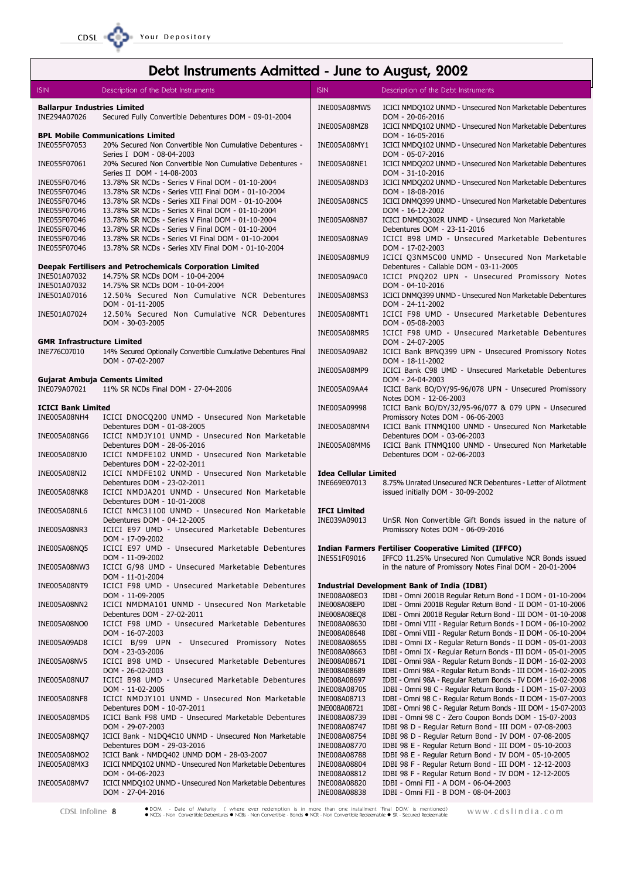# Debt Instruments Admitted - June to August, 2002

| ISIN.                                     | Description of the Debt Instruments                                                                                                   | <b>ISIN</b>                                  | Description of the Debt Instruments                                                                                             |
|-------------------------------------------|---------------------------------------------------------------------------------------------------------------------------------------|----------------------------------------------|---------------------------------------------------------------------------------------------------------------------------------|
| <b>Ballarpur Industries Limited</b>       |                                                                                                                                       | INE005A08MW5                                 | ICICI NMDQ102 UNMD - Unsecured Non Marketable Debentures                                                                        |
| INE294A07026                              | Secured Fully Convertible Debentures DOM - 09-01-2004                                                                                 | INE005A08MZ8                                 | DOM - 20-06-2016<br>ICICI NMDQ102 UNMD - Unsecured Non Marketable Debentures                                                    |
| INE055F07053                              | <b>BPL Mobile Communications Limited</b><br>20% Secured Non Convertible Non Cumulative Debentures -                                   | INE005A08MY1                                 | DOM - 16-05-2016<br>ICICI NMDQ102 UNMD - Unsecured Non Marketable Debentures                                                    |
| INE055F07061                              | Series I DOM - 08-04-2003<br>20% Secured Non Convertible Non Cumulative Debentures -                                                  | INE005A08NE1                                 | DOM - 05-07-2016<br>ICICI NMDQ202 UNMD - Unsecured Non Marketable Debentures                                                    |
| INE055F07046<br>INE055F07046              | Series II DOM - 14-08-2003<br>13.78% SR NCDs - Series V Final DOM - 01-10-2004<br>13.78% SR NCDs - Series VIII Final DOM - 01-10-2004 | INE005A08ND3                                 | DOM - 31-10-2016<br>ICICI NMDQ202 UNMD - Unsecured Non Marketable Debentures<br>DOM - 18-08-2016                                |
| INE055F07046<br>INE055F07046              | 13.78% SR NCDs - Series XII Final DOM - 01-10-2004<br>13.78% SR NCDs - Series X Final DOM - 01-10-2004                                | INE005A08NC5                                 | ICICI DNMQ399 UNMD - Unsecured Non Marketable Debentures<br>DOM - 16-12-2002                                                    |
| INE055F07046<br>INE055F07046              | 13.78% SR NCDs - Series V Final DOM - 01-10-2004<br>13.78% SR NCDs - Series V Final DOM - 01-10-2004                                  | INE005A08NB7                                 | ICICI DNMDQ302R UNMD - Unsecured Non Marketable<br>Debentures DOM - 23-11-2016                                                  |
| INE055F07046<br>INE055F07046              | 13.78% SR NCDs - Series VI Final DOM - 01-10-2004<br>13.78% SR NCDs - Series XIV Final DOM - 01-10-2004                               | INE005A08NA9                                 | ICICI B98 UMD - Unsecured Marketable Debentures<br>DOM - 17-02-2003                                                             |
|                                           | Deepak Fertilisers and Petrochemicals Corporation Limited                                                                             | INE005A08MU9                                 | ICICI Q3NM5C00 UNMD - Unsecured Non Marketable<br>Debentures - Callable DOM - 03-11-2005                                        |
| INE501A07032<br>INE501A07032              | 14.75% SR NCDs DOM - 10-04-2004<br>14.75% SR NCDs DOM - 10-04-2004                                                                    | INE005A09AC0                                 | ICICI PNQ202 UPN - Unsecured Promissory Notes<br>DOM - 04-10-2016                                                               |
| INE501A07016                              | 12.50% Secured Non Cumulative NCR Debentures<br>DOM - 01-11-2005                                                                      | <b>INE005A08MS3</b>                          | ICICI DNMQ399 UNMD - Unsecured Non Marketable Debentures<br>DOM - 24-11-2002                                                    |
| INE501A07024                              | 12.50% Secured Non Cumulative NCR Debentures<br>DOM - 30-03-2005                                                                      | INE005A08MT1                                 | ICICI F98 UMD - Unsecured Marketable Debentures<br>DOM - 05-08-2003                                                             |
| <b>GMR Infrastructure Limited</b>         |                                                                                                                                       | INE005A08MR5                                 | ICICI F98 UMD - Unsecured Marketable Debentures<br>DOM - 24-07-2005                                                             |
| INE776C07010                              | 14% Secured Optionally Convertible Cumulative Debentures Final<br>DOM - 07-02-2007                                                    | INE005A09AB2                                 | ICICI Bank BPNQ399 UPN - Unsecured Promissory Notes<br>DOM - 18-11-2002                                                         |
| <b>Gujarat Ambuja Cements Limited</b>     |                                                                                                                                       | INE005A08MP9                                 | ICICI Bank C98 UMD - Unsecured Marketable Debentures<br>DOM - 24-04-2003                                                        |
| INE079A07021                              | 11% SR NCDs Final DOM - 27-04-2006                                                                                                    | INE005A09AA4                                 | ICICI Bank BO/DY/95-96/078 UPN - Unsecured Promissory<br>Notes DOM - 12-06-2003                                                 |
| <b>ICICI Bank Limited</b><br>INE005A08NH4 | ICICI DNOCQ200 UNMD - Unsecured Non Marketable                                                                                        | INE005A09998                                 | ICICI Bank BO/DY/32/95-96/077 & 079 UPN - Unsecured<br>Promissory Notes DOM - 06-06-2003                                        |
|                                           | Debentures DOM - 01-08-2005                                                                                                           | INE005A08MN4                                 | ICICI Bank ITNMQ100 UNMD - Unsecured Non Marketable                                                                             |
| INE005A08NG6<br>INE005A08NJ0              | ICICI NMDJY101 UNMD - Unsecured Non Marketable<br>Debentures DOM - 28-06-2016<br>ICICI NMDFE102 UNMD - Unsecured Non Marketable       | INE005A08MM6                                 | Debentures DOM - 03-06-2003<br>ICICI Bank ITNMQ100 UNMD - Unsecured Non Marketable<br>Debentures DOM - 02-06-2003               |
|                                           | Debentures DOM - 22-02-2011                                                                                                           |                                              |                                                                                                                                 |
| INE005A08NI2                              | ICICI NMDFE102 UNMD - Unsecured Non Marketable<br>Debentures DOM - 23-02-2011                                                         | <b>Idea Cellular Limited</b><br>INE669E07013 | 8.75% Unrated Unsecured NCR Debentures - Letter of Allotment                                                                    |
| INE005A08NK8                              | ICICI NMDJA201 UNMD - Unsecured Non Marketable<br>Debentures DOM - 10-01-2008                                                         |                                              | issued initially DOM - 30-09-2002                                                                                               |
| INE005A08NL6                              | ICICI NMC31100 UNMD - Unsecured Non Marketable<br>Debentures DOM - 04-12-2005                                                         | <b>IFCI Limited</b><br>INE039A09013          | UnSR Non Convertible Gift Bonds issued in the nature of                                                                         |
| INE005A08NR3                              | ICICI E97 UMD - Unsecured Marketable Debentures<br>DOM - 17-09-2002                                                                   |                                              | Promissory Notes DOM - 06-09-2016                                                                                               |
| INE005A08NQ5                              | ICICI E97 UMD - Unsecured Marketable Debentures<br>DOM - 11-09-2002                                                                   | INE551F09016                                 | <b>Indian Farmers Fertiliser Cooperative Limited (IFFCO)</b><br>IFFCO 11.25% Unsecured Non Cumulative NCR Bonds issued          |
| INE005A08NW3                              | ICICI G/98 UMD - Unsecured Marketable Debentures<br>DOM - 11-01-2004                                                                  |                                              | in the nature of Promissory Notes Final DOM - 20-01-2004                                                                        |
| INE005A08NT9                              | ICICI F98 UMD - Unsecured Marketable Debentures<br>DOM - 11-09-2005                                                                   | INE008A08EO3                                 | Industrial Development Bank of India (IDBI)<br>IDBI - Omni 2001B Regular Return Bond - I DOM - 01-10-2004                       |
| INE005A08NN2                              | ICICI NMDMA101 UNMD - Unsecured Non Marketable<br>Debentures DOM - 27-02-2011                                                         | INE008A08EP0<br>INE008A08EQ8                 | IDBI - Omni 2001B Regular Return Bond - II DOM - 01-10-2006<br>IDBI - Omni 2001B Regular Return Bond - III DOM - 01-10-2008     |
| INE005A08NO0                              | ICICI F98 UMD - Unsecured Marketable Debentures<br>DOM - 16-07-2003                                                                   | INE008A08630<br>INE008A08648                 | IDBI - Omni VIII - Regular Return Bonds - I DOM - 06-10-2002<br>IDBI - Omni VIII - Regular Return Bonds - II DOM - 06-10-2004   |
| INE005A09AD8                              | ICICI B/99 UPN - Unsecured Promissory Notes<br>DOM - 23-03-2006                                                                       | INE008A08655<br>INE008A08663                 | IDBI - Omni IX - Regular Return Bonds - II DOM - 05-01-2003<br>IDBI - Omni IX - Regular Return Bonds - III DOM - 05-01-2005     |
| INE005A08NV5                              | ICICI B98 UMD - Unsecured Marketable Debentures<br>DOM - 26-02-2003                                                                   | INE008A08671<br>INE008A08689                 | IDBI - Omni 98A - Regular Return Bonds - II DOM - 16-02-2003<br>IDBI - Omni 98A - Regular Return Bonds - III DOM - 16-02-2005   |
| INE005A08NU7                              | ICICI B98 UMD - Unsecured Marketable Debentures<br>DOM - 11-02-2005                                                                   | INE008A08697<br>INE008A08705                 | IDBI - Omni 98A - Regular Return Bonds - IV DOM - 16-02-2008<br>IDBI - Omni 98 C - Regular Return Bonds - I DOM - 15-07-2003    |
| INE005A08NF8                              | ICICI NMDJY101 UNMD - Unsecured Non Marketable<br>Debentures DOM - 10-07-2011                                                         | INE008A08713<br>INE008A08721                 | IDBI - Omni 98 C - Regular Return Bonds - II DOM - 15-07-2003<br>IDBI - Omni 98 C - Regular Return Bonds - III DOM - 15-07-2003 |
| INE005A08MD5                              | ICICI Bank F98 UMD - Unsecured Marketable Debentures<br>DOM - 29-07-2003                                                              | INE008A08739<br>INE008A08747                 | IDBI - Omni 98 C - Zero Coupon Bonds DOM - 15-07-2003<br>IDBI 98 D - Regular Return Bond - III DOM - 07-08-2003                 |
| INE005A08MQ7                              | ICICI Bank - N1DQ4C10 UNMD - Unsecured Non Marketable<br>Debentures DOM - 29-03-2016                                                  | INE008A08754<br>INE008A08770                 | IDBI 98 D - Regular Return Bond - IV DOM - 07-08-2005<br>IDBI 98 E - Regular Return Bond - III DOM - 05-10-2003                 |
| INE005A08MO2<br>INE005A08MX3              | ICICI Bank - NMDQ402 UNMD DOM - 28-03-2007<br>ICICI NMDQ102 UNMD - Unsecured Non Marketable Debentures                                | INE008A08788<br>INE008A08804                 | IDBI 98 E - Regular Return Bond - IV DOM - 05-10-2005<br>IDBI 98 F - Regular Return Bond - III DOM - 12-12-2003                 |
| INE005A08MV7                              | DOM - 04-06-2023<br>ICICI NMDQ102 UNMD - Unsecured Non Marketable Debentures                                                          | INE008A08812<br>INE008A08820                 | IDBI 98 F - Regular Return Bond - IV DOM - 12-12-2005<br>IDBI - Omni FII - A DOM - 06-04-2003                                   |
|                                           | DOM - 27-04-2016                                                                                                                      | INE008A08838                                 | IDBI - Omni FII - B DOM - 08-04-2003                                                                                            |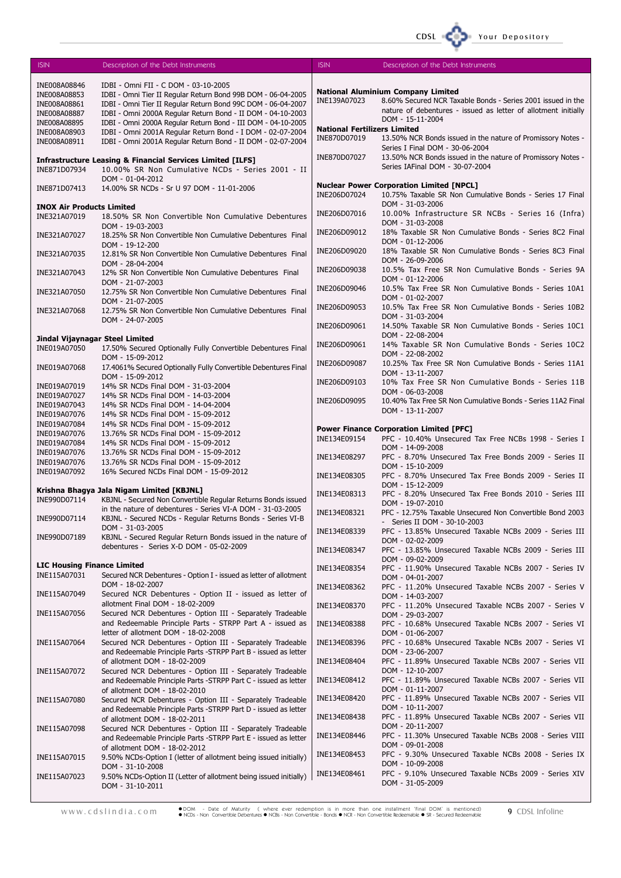| <b>ISIN</b>                                      | Description of the Debt Instruments                                                                                          | <b>ISIN</b>                         | Description of the Debt Instruments                                                                    |
|--------------------------------------------------|------------------------------------------------------------------------------------------------------------------------------|-------------------------------------|--------------------------------------------------------------------------------------------------------|
|                                                  |                                                                                                                              |                                     |                                                                                                        |
| INE008A08846<br>INE008A08853                     | IDBI - Omni FII - C DOM - 03-10-2005                                                                                         |                                     | <b>National Aluminium Company Limited</b>                                                              |
| INE008A08861                                     | IDBI - Omni Tier II Regular Return Bond 99B DOM - 06-04-2005<br>IDBI - Omni Tier II Regular Return Bond 99C DOM - 06-04-2007 | INE139A07023                        | 8.60% Secured NCR Taxable Bonds - Series 2001 issued in the                                            |
| INE008A08887                                     | IDBI - Omni 2000A Regular Return Bond - II DOM - 04-10-2003                                                                  |                                     | nature of debentures - issued as letter of allotment initially                                         |
| INE008A08895                                     | IDBI - Omni 2000A Regular Return Bond - III DOM - 04-10-2005                                                                 |                                     | DOM - 15-11-2004                                                                                       |
| INE008A08903                                     | IDBI - Omni 2001A Regular Return Bond - I DOM - 02-07-2004                                                                   | <b>National Fertilizers Limited</b> |                                                                                                        |
| INE008A08911                                     | IDBI - Omni 2001A Regular Return Bond - II DOM - 02-07-2004                                                                  | INE870D07019                        | 13.50% NCR Bonds issued in the nature of Promissory Notes -                                            |
|                                                  |                                                                                                                              |                                     | Series I Final DOM - 30-06-2004                                                                        |
|                                                  | <b>Infrastructure Leasing &amp; Financial Services Limited [ILFS]</b>                                                        | INE870D07027                        | 13.50% NCR Bonds issued in the nature of Promissory Notes -                                            |
| INE871D07934                                     | 10.00% SR Non Cumulative NCDs - Series 2001 - II                                                                             |                                     | Series IAFinal DOM - 30-07-2004                                                                        |
|                                                  | DOM - 01-04-2012                                                                                                             |                                     | <b>Nuclear Power Corporation Limited [NPCL]</b>                                                        |
| INE871D07413                                     | 14.00% SR NCDs - Sr U 97 DOM - 11-01-2006                                                                                    | INE206D07024                        | 10.75% Taxable SR Non Cumulative Bonds - Series 17 Final                                               |
|                                                  |                                                                                                                              |                                     | DOM - 31-03-2006                                                                                       |
| <b>INOX Air Products Limited</b><br>INE321A07019 |                                                                                                                              | INE206D07016                        | 10.00% Infrastructure SR NCBs - Series 16 (Infra)                                                      |
|                                                  | 18.50% SR Non Convertible Non Cumulative Debentures<br>DOM - 19-03-2003                                                      |                                     | DOM - 31-03-2008                                                                                       |
| INE321A07027                                     | 18.25% SR Non Convertible Non Cumulative Debentures Final                                                                    | INE206D09012                        | 18% Taxable SR Non Cumulative Bonds - Series 8C2 Final                                                 |
|                                                  | DOM - 19-12-200                                                                                                              |                                     | DOM - 01-12-2006                                                                                       |
| INE321A07035                                     | 12.81% SR Non Convertible Non Cumulative Debentures Final                                                                    | INE206D09020                        | 18% Taxable SR Non Cumulative Bonds - Series 8C3 Final                                                 |
|                                                  | DOM - 28-04-2004                                                                                                             |                                     | DOM - 26-09-2006                                                                                       |
| INE321A07043                                     | 12% SR Non Convertible Non Cumulative Debentures Final                                                                       | INE206D09038                        | 10.5% Tax Free SR Non Cumulative Bonds - Series 9A                                                     |
|                                                  | DOM - 21-07-2003                                                                                                             |                                     | DOM - 01-12-2006                                                                                       |
| INE321A07050                                     | 12.75% SR Non Convertible Non Cumulative Debentures Final                                                                    | INE206D09046                        | 10.5% Tax Free SR Non Cumulative Bonds - Series 10A1<br>DOM - 01-02-2007                               |
|                                                  | DOM - 21-07-2005                                                                                                             | INE206D09053                        | 10.5% Tax Free SR Non Cumulative Bonds - Series 10B2                                                   |
| INE321A07068                                     | 12.75% SR Non Convertible Non Cumulative Debentures Final                                                                    |                                     | DOM - 31-03-2004                                                                                       |
|                                                  | DOM - 24-07-2005                                                                                                             | INE206D09061                        | 14.50% Taxable SR Non Cumulative Bonds - Series 10C1                                                   |
|                                                  |                                                                                                                              |                                     | DOM - 22-08-2004                                                                                       |
| Jindal Vijaynagar Steel Limited<br>INE019A07050  |                                                                                                                              | INE206D09061                        | 14% Taxable SR Non Cumulative Bonds - Series 10C2                                                      |
|                                                  | 17.50% Secured Optionally Fully Convertible Debentures Final<br>DOM - 15-09-2012                                             |                                     | DOM - 22-08-2002                                                                                       |
| INE019A07068                                     | 17.4061% Secured Optionally Fully Convertible Debentures Final                                                               | INE206D09087                        | 10.25% Tax Free SR Non Cumulative Bonds - Series 11A1                                                  |
|                                                  | DOM - 15-09-2012                                                                                                             |                                     | DOM - 13-11-2007                                                                                       |
| INE019A07019                                     | 14% SR NCDs Final DOM - 31-03-2004                                                                                           | INE206D09103                        | 10% Tax Free SR Non Cumulative Bonds - Series 11B                                                      |
| INE019A07027                                     | 14% SR NCDs Final DOM - 14-03-2004                                                                                           |                                     | DOM - 06-03-2008                                                                                       |
| INE019A07043                                     | 14% SR NCDs Final DOM - 14-04-2004                                                                                           | INE206D09095                        | 10.40% Tax Free SR Non Cumulative Bonds - Series 11A2 Final                                            |
| INE019A07076                                     | 14% SR NCDs Final DOM - 15-09-2012                                                                                           |                                     | DOM - 13-11-2007                                                                                       |
| INE019A07084                                     | 14% SR NCDs Final DOM - 15-09-2012                                                                                           |                                     |                                                                                                        |
| INE019A07076                                     | 13.76% SR NCDs Final DOM - 15-09-2012                                                                                        | INE134E09154                        | <b>Power Finance Corporation Limited [PFC]</b><br>PFC - 10.40% Unsecured Tax Free NCBs 1998 - Series I |
| INE019A07084                                     | 14% SR NCDs Final DOM - 15-09-2012                                                                                           |                                     | DOM - 14-09-2008                                                                                       |
| INE019A07076                                     | 13.76% SR NCDs Final DOM - 15-09-2012                                                                                        | INE134E08297                        | PFC - 8.70% Unsecured Tax Free Bonds 2009 - Series II                                                  |
| INE019A07076                                     | 13.76% SR NCDs Final DOM - 15-09-2012                                                                                        |                                     | DOM - 15-10-2009                                                                                       |
| INE019A07092                                     | 16% Secured NCDs Final DOM - 15-09-2012                                                                                      | INE134E08305                        | PFC - 8.70% Unsecured Tax Free Bonds 2009 - Series II                                                  |
|                                                  | Krishna Bhagya Jala Nigam Limited [KBJNL]                                                                                    |                                     | DOM - 15-12-2009                                                                                       |
| INE990D07114                                     | KBJNL - Secured Non Convertible Regular Returns Bonds issued                                                                 | INE134E08313                        | PFC - 8.20% Unsecured Tax Free Bonds 2010 - Series III                                                 |
|                                                  | in the nature of debentures - Series VI-A DOM - 31-03-2005                                                                   |                                     | DOM - 19-07-2010                                                                                       |
| INE990D07114                                     | KBJNL - Secured NCDs - Regular Returns Bonds - Series VI-B                                                                   | INE134E08321                        | PFC - 12.75% Taxable Unsecured Non Convertible Bond 2003                                               |
|                                                  | DOM - 31-03-2005                                                                                                             | INE134E08339                        | - Series II DOM - 30-10-2003                                                                           |
| INE990D07189                                     | KBJNL - Secured Regular Return Bonds issued in the nature of                                                                 |                                     | PFC - 13.85% Unsecured Taxable NCBs 2009 - Series III<br>DOM - 02-02-2009                              |
|                                                  | debentures - Series X-D DOM - 05-02-2009                                                                                     | INE134E08347                        | PFC - 13.85% Unsecured Taxable NCBs 2009 - Series III                                                  |
|                                                  |                                                                                                                              |                                     | DOM - 09-02-2009                                                                                       |
| <b>LIC Housing Finance Limited</b>               |                                                                                                                              | INE134E08354                        | PFC - 11.90% Unsecured Taxable NCBs 2007 - Series IV                                                   |
| INE115A07031                                     | Secured NCR Debentures - Option I - issued as letter of allotment                                                            |                                     | DOM - 04-01-2007                                                                                       |
|                                                  | DOM - 18-02-2007                                                                                                             | INE134E08362                        | PFC - 11.20% Unsecured Taxable NCBs 2007 - Series V                                                    |
| INE115A07049                                     | Secured NCR Debentures - Option II - issued as letter of                                                                     |                                     | DOM - 14-03-2007                                                                                       |
|                                                  | allotment Final DOM - 18-02-2009                                                                                             | INE134E08370                        | PFC - 11.20% Unsecured Taxable NCBs 2007 - Series V                                                    |
| INE115A07056                                     | Secured NCR Debentures - Option III - Separately Tradeable                                                                   |                                     | DOM - 29-03-2007                                                                                       |
|                                                  | and Redeemable Principle Parts - STRPP Part A - issued as                                                                    | INE134E08388                        | PFC - 10.68% Unsecured Taxable NCBs 2007 - Series VI                                                   |
|                                                  | letter of allotment DOM - 18-02-2008<br>Secured NCR Debentures - Option III - Separately Tradeable                           |                                     | DOM - 01-06-2007                                                                                       |
| INE115A07064                                     | and Redeemable Principle Parts -STRPP Part B - issued as letter                                                              | INE134E08396                        | PFC - 10.68% Unsecured Taxable NCBs 2007 - Series VI<br>DOM - 23-06-2007                               |
|                                                  | of allotment DOM - 18-02-2009                                                                                                | INE134E08404                        | PFC - 11.89% Unsecured Taxable NCBs 2007 - Series VII                                                  |
| INE115A07072                                     | Secured NCR Debentures - Option III - Separately Tradeable                                                                   |                                     | DOM - 12-10-2007                                                                                       |
|                                                  | and Redeemable Principle Parts -STRPP Part C - issued as letter                                                              | INE134E08412                        | PFC - 11.89% Unsecured Taxable NCBs 2007 - Series VII                                                  |
|                                                  | of allotment DOM - 18-02-2010                                                                                                |                                     | DOM - 01-11-2007                                                                                       |
| INE115A07080                                     | Secured NCR Debentures - Option III - Separately Tradeable                                                                   | INE134E08420                        | PFC - 11.89% Unsecured Taxable NCBs 2007 - Series VII                                                  |
|                                                  | and Redeemable Principle Parts -STRPP Part D - issued as letter                                                              |                                     | DOM - 10-11-2007                                                                                       |
|                                                  | of allotment DOM - 18-02-2011                                                                                                | INE134E08438                        | PFC - 11.89% Unsecured Taxable NCBs 2007 - Series VII                                                  |
| INE115A07098                                     | Secured NCR Debentures - Option III - Separately Tradeable                                                                   |                                     | DOM - 20-11-2007                                                                                       |
|                                                  | and Redeemable Principle Parts - STRPP Part E - issued as letter                                                             | INE134E08446                        | PFC - 11.30% Unsecured Taxable NCBs 2008 - Series VIII                                                 |
|                                                  | of allotment DOM - 18-02-2012                                                                                                |                                     | DOM - 09-01-2008                                                                                       |
| INE115A07015                                     | 9.50% NCDs-Option I (letter of allotment being issued initially)                                                             | INE134E08453                        | PFC - 9.30% Unsecured Taxable NCBs 2008 - Series IX                                                    |
|                                                  | DOM - 31-10-2008                                                                                                             | INE134E08461                        | DOM - 10-09-2008<br>PFC - 9.10% Unsecured Taxable NCBs 2009 - Series XIV                               |
| INE115A07023                                     | 9.50% NCDs-Option II (Letter of allotment being issued initially)<br>$DOM - 31 - 10 - 2011$                                  |                                     | DOM - 31-05-2009                                                                                       |

CDSL <sup>6</sup>

Your Depository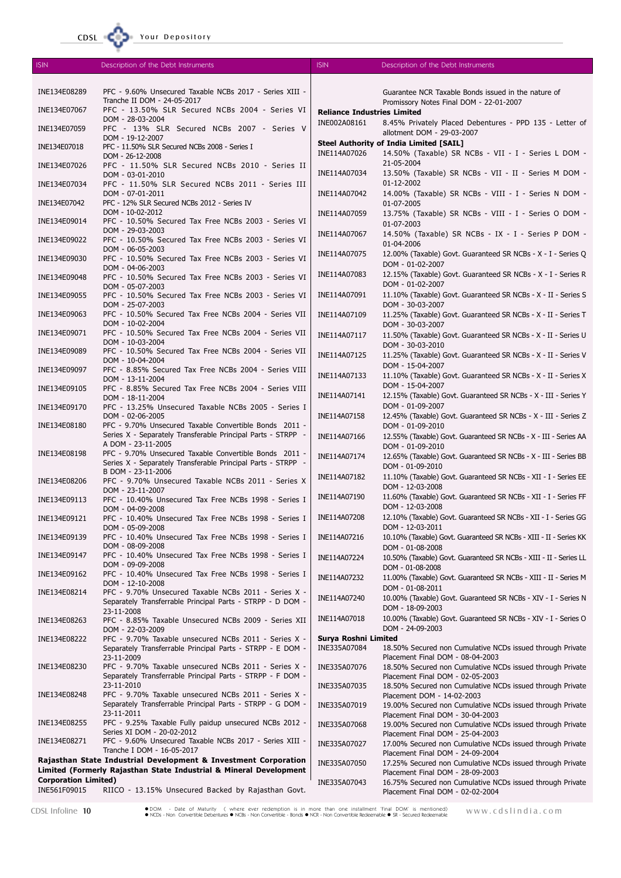## Your Depository

 $CDSL$ 

| <b>ISIN</b>                 | Description of the Debt Instruments                                                                                    | <b>ISIN</b>                        | Description of the Debt Instruments                                                           |
|-----------------------------|------------------------------------------------------------------------------------------------------------------------|------------------------------------|-----------------------------------------------------------------------------------------------|
|                             |                                                                                                                        |                                    |                                                                                               |
| INE134E08289                | PFC - 9.60% Unsecured Taxable NCBs 2017 - Series XIII -<br>Tranche II DOM - 24-05-2017                                 |                                    | Guarantee NCR Taxable Bonds issued in the nature of                                           |
| INE134E07067                | PFC - 13.50% SLR Secured NCBs 2004 - Series VI                                                                         | <b>Reliance Industries Limited</b> | Promissory Notes Final DOM - 22-01-2007                                                       |
|                             | DOM - 28-03-2004                                                                                                       | INE002A08161                       | 8.45% Privately Placed Debentures - PPD 135 - Letter of                                       |
| INE134E07059                | PFC - 13% SLR Secured NCBs 2007 - Series V                                                                             |                                    | allotment DOM - 29-03-2007                                                                    |
| INE134E07018                | DOM - 19-12-2007<br>PFC - 11.50% SLR Secured NCBs 2008 - Series I                                                      |                                    | <b>Steel Authority of India Limited [SAIL]</b>                                                |
|                             | DOM - 26-12-2008                                                                                                       | INE114A07026                       | 14.50% (Taxable) SR NCBs - VII - I - Series L DOM -                                           |
| INE134E07026                | PFC - 11.50% SLR Secured NCBs 2010 - Series II                                                                         |                                    | 21-05-2004                                                                                    |
|                             | DOM - 03-01-2010                                                                                                       | INE114A07034                       | 13.50% (Taxable) SR NCBs - VII - II - Series M DOM -<br>01-12-2002                            |
| INE134E07034                | PFC - 11.50% SLR Secured NCBs 2011 - Series III<br>DOM - 07-01-2011                                                    | INE114A07042                       | 14.00% (Taxable) SR NCBs - VIII - I - Series N DOM -                                          |
| INE134E07042                | PFC - 12% SLR Secured NCBs 2012 - Series IV                                                                            |                                    | 01-07-2005                                                                                    |
|                             | DOM - 10-02-2012                                                                                                       | INE114A07059                       | 13.75% (Taxable) SR NCBs - VIII - I - Series O DOM -                                          |
| INE134E09014                | PFC - 10.50% Secured Tax Free NCBs 2003 - Series VI<br>DOM - 29-03-2003                                                |                                    | 01-07-2003                                                                                    |
| INE134E09022                | PFC - 10.50% Secured Tax Free NCBs 2003 - Series VI                                                                    | INE114A07067                       | 14.50% (Taxable) SR NCBs - IX - I - Series P DOM -                                            |
|                             | DOM - 06-05-2003                                                                                                       | INE114A07075                       | 01-04-2006<br>12.00% (Taxable) Govt. Guaranteed SR NCBs - X - I - Series Q                    |
| INE134E09030                | PFC - 10.50% Secured Tax Free NCBs 2003 - Series VI<br>DOM - 04-06-2003                                                |                                    | DOM - 01-02-2007                                                                              |
| INE134E09048                | PFC - 10.50% Secured Tax Free NCBs 2003 - Series VI                                                                    | INE114A07083                       | 12.15% (Taxable) Govt. Guaranteed SR NCBs - X - I - Series R                                  |
|                             | DOM - 05-07-2003                                                                                                       |                                    | DOM - 01-02-2007                                                                              |
| INE134E09055                | PFC - 10.50% Secured Tax Free NCBs 2003 - Series VI                                                                    | INE114A07091                       | 11.10% (Taxable) Govt. Guaranteed SR NCBs - X - II - Series S                                 |
| INE134E09063                | DOM - 25-07-2003<br>PFC - 10.50% Secured Tax Free NCBs 2004 - Series VII                                               | INE114A07109                       | DOM - 30-03-2007<br>11.25% (Taxable) Govt. Guaranteed SR NCBs - X - II - Series T             |
|                             | DOM - 10-02-2004                                                                                                       |                                    | DOM - 30-03-2007                                                                              |
| INE134E09071                | PFC - 10.50% Secured Tax Free NCBs 2004 - Series VII                                                                   | INE114A07117                       | 11.50% (Taxable) Govt. Guaranteed SR NCBs - X - II - Series U                                 |
| INE134E09089                | DOM - 10-03-2004<br>PFC - 10.50% Secured Tax Free NCBs 2004 - Series VII                                               |                                    | DOM - 30-03-2010                                                                              |
|                             | DOM - 10-04-2004                                                                                                       | INE114A07125                       | 11.25% (Taxable) Govt. Guaranteed SR NCBs - X - II - Series V                                 |
| INE134E09097                | PFC - 8.85% Secured Tax Free NCBs 2004 - Series VIII                                                                   | INE114A07133                       | DOM - 15-04-2007<br>11.10% (Taxable) Govt. Guaranteed SR NCBs - X - II - Series X             |
|                             | DOM - 13-11-2004                                                                                                       |                                    | DOM - 15-04-2007                                                                              |
| INE134E09105                | PFC - 8.85% Secured Tax Free NCBs 2004 - Series VIII<br>DOM - 18-11-2004                                               | INE114A07141                       | 12.15% (Taxable) Govt. Guaranteed SR NCBs - X - III - Series Y                                |
| INE134E09170                | PFC - 13.25% Unsecured Taxable NCBs 2005 - Series I                                                                    |                                    | DOM - 01-09-2007                                                                              |
|                             | DOM - 02-06-2005                                                                                                       | INE114A07158                       | 12.45% (Taxable) Govt. Guaranteed SR NCBs - X - III - Series Z                                |
| INE134E08180                | PFC - 9.70% Unsecured Taxable Convertible Bonds 2011 -<br>Series X - Separately Transferable Principal Parts - STRPP - | INE114A07166                       | DOM - 01-09-2010<br>12.55% (Taxable) Govt. Guaranteed SR NCBs - X - III - Series AA           |
|                             | A DOM - 23-11-2005                                                                                                     |                                    | DOM - 01-09-2010                                                                              |
| INE134E08198                | PFC - 9.70% Unsecured Taxable Convertible Bonds 2011 -                                                                 | INE114A07174                       | 12.65% (Taxable) Govt. Guaranteed SR NCBs - X - III - Series BB                               |
|                             | Series X - Separately Transferable Principal Parts - STRPP -<br>B DOM - 23-11-2006                                     |                                    | DOM - 01-09-2010                                                                              |
| INE134E08206                | PFC - 9.70% Unsecured Taxable NCBs 2011 - Series X                                                                     | INE114A07182                       | 11.10% (Taxable) Govt. Guaranteed SR NCBs - XII - I - Series EE                               |
|                             | DOM - 23-11-2007                                                                                                       | INE114A07190                       | DOM - 12-03-2008<br>11.60% (Taxable) Govt. Guaranteed SR NCBs - XII - I - Series FF           |
| INE134E09113                | PFC - 10.40% Unsecured Tax Free NCBs 1998 - Series I<br>DOM - 04-09-2008                                               |                                    | DOM - 12-03-2008                                                                              |
| INE134E09121                | PFC - 10.40% Unsecured Tax Free NCBs 1998 - Series I                                                                   | INE114A07208                       | 12.10% (Taxable) Govt. Guaranteed SR NCBs - XII - I - Series GG                               |
|                             | DOM - 05-09-2008                                                                                                       |                                    | DOM - 12-03-2011                                                                              |
| INE134E09139                | PFC - 10.40% Unsecured Tax Free NCBs 1998 - Series I<br>DOM - 08-09-2008                                               | INE114A07216                       | 10.10% (Taxable) Govt. Guaranteed SR NCBs - XIII - II - Series KK                             |
| INE134E09147                | PFC - 10.40% Unsecured Tax Free NCBs 1998 - Series I                                                                   | INE114A07224                       | DOM - 01-08-2008<br>10.50% (Taxable) Govt. Guaranteed SR NCBs - XIII - II - Series LL         |
|                             | DOM - 09-09-2008                                                                                                       |                                    | DOM - 01-08-2008                                                                              |
| INE134E09162                | PFC - 10.40% Unsecured Tax Free NCBs 1998 - Series I<br>DOM - 12-10-2008                                               | INE114A07232                       | 11.00% (Taxable) Govt. Guaranteed SR NCBs - XIII - II - Series M                              |
| INE134E08214                | PFC - 9.70% Unsecured Taxable NCBs 2011 - Series X -                                                                   |                                    | DOM - 01-08-2011                                                                              |
|                             | Separately Transferrable Principal Parts - STRPP - D DOM -                                                             | INE114A07240                       | 10.00% (Taxable) Govt. Guaranteed SR NCBs - XIV - I - Series N                                |
|                             | 23-11-2008                                                                                                             | INE114A07018                       | DOM - 18-09-2003<br>10.00% (Taxable) Govt. Guaranteed SR NCBs - XIV - I - Series O            |
| INE134E08263                | PFC - 8.85% Taxable Unsecured NCBs 2009 - Series XII<br>DOM - 22-03-2009                                               |                                    | DOM - 24-09-2003                                                                              |
| INE134E08222                | PFC - 9.70% Taxable unsecured NCBs 2011 - Series X -                                                                   | Surya Roshni Limited               |                                                                                               |
|                             | Separately Transferrable Principal Parts - STRPP - E DOM -                                                             | INE335A07084                       | 18.50% Secured non Cumulative NCDs issued through Private                                     |
| INE134E08230                | 23-11-2009<br>PFC - 9.70% Taxable unsecured NCBs 2011 - Series X -                                                     |                                    | Placement Final DOM - 08-04-2003                                                              |
|                             | Separately Transferrable Principal Parts - STRPP - F DOM -                                                             | INE335A07076                       | 18.50% Secured non Cumulative NCDs issued through Private<br>Placement Final DOM - 02-05-2003 |
|                             | 23-11-2010                                                                                                             | INE335A07035                       | 18.50% Secured non Cumulative NCDs issued through Private                                     |
| INE134E08248                | PFC - 9.70% Taxable unsecured NCBs 2011 - Series X -                                                                   |                                    | Placement DOM - 14-02-2003                                                                    |
|                             | Separately Transferrable Principal Parts - STRPP - G DOM -<br>23-11-2011                                               | INE335A07019                       | 19.00% Secured non Cumulative NCDs issued through Private<br>Placement Final DOM - 30-04-2003 |
| INE134E08255                | PFC - 9.25% Taxable Fully paidup unsecured NCBs 2012 -                                                                 | INE335A07068                       | 19.00% Secured non Cumulative NCDs issued through Private                                     |
|                             | Series XI DOM - 20-02-2012                                                                                             |                                    | Placement Final DOM - 25-04-2003                                                              |
| INE134E08271                | PFC - 9.60% Unsecured Taxable NCBs 2017 - Series XIII -<br>Tranche I DOM - 16-05-2017                                  | INE335A07027                       | 17.00% Secured non Cumulative NCDs issued through Private                                     |
|                             | Rajasthan State Industrial Development & Investment Corporation                                                        | INE335A07050                       | Placement Final DOM - 24-09-2004<br>17.25% Secured non Cumulative NCDs issued through Private |
|                             | Limited (Formerly Rajasthan State Industrial & Mineral Development                                                     |                                    | Placement Final DOM - 28-09-2003                                                              |
| <b>Corporation Limited)</b> |                                                                                                                        | INE335A07043                       | 16.75% Secured non Cumulative NCDs issued through Private                                     |
| INE561F09015                | RIICO - 13.15% Unsecured Backed by Rajasthan Govt.                                                                     |                                    | Placement Final DOM - 02-02-2004                                                              |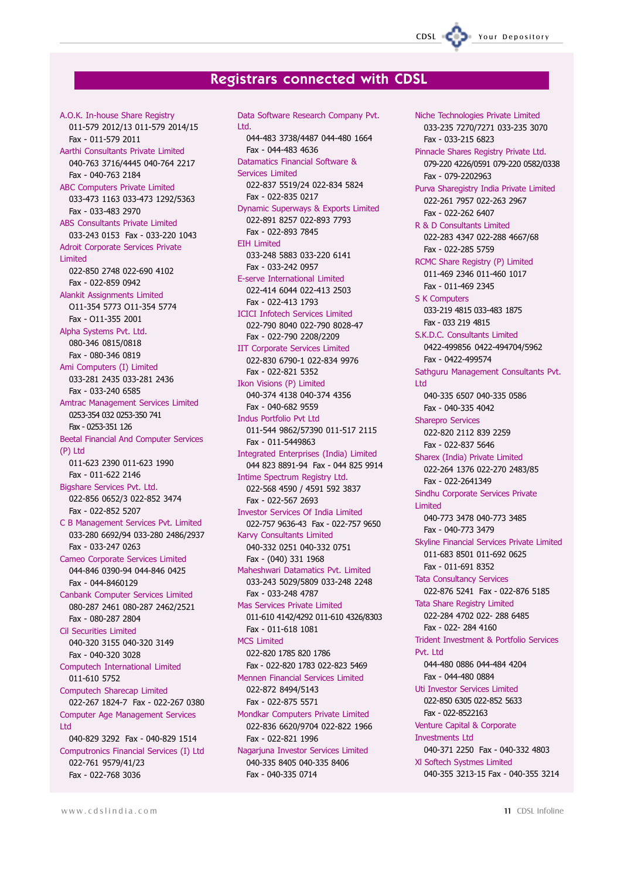# **Registrars connected with CDSL**

A.O.K. In-house Share Registry 011-579 2012/13 011-579 2014/15 Fax - 011-579 2011 Aarthi Consultants Private Limited 040-763 3716/4445 040-764 2217 Fax - 040-763 2184 **ABC Computers Private Limited** 033-473 1163 033-473 1292/5363 Fax - 033-483 2970 **ABS** Consultants Private Limited 033-243 0153 Fax - 033-220 1043 Adroit Corporate Services Private **Limited** 022-850 2748 022-690 4102 Fax - 022-859 0942 Alankit Assignments Limited 011-354 5773 011-354 5774 Fax - 011-355 2001 Alpha Systems Pvt. Ltd. 080-346 0815/0818 Fax - 080-346 0819 Ami Computers (I) Limited 033-281 2435 033-281 2436 Fax - 033-240 6585 Amtrac Management Services Limited 0253-354 032 0253-350 741 Fax - 0253-351 126 Beetal Financial And Computer Services  $(P)$  Ltd 011-623 2390 011-623 1990 Fax - 011-622 2146 Bigshare Services Pvt. Ltd. 022-856 0652/3 022-852 3474 Fax - 022-852 5207 C B Management Services Pvt. Limited 033-280 6692/94 033-280 2486/2937 Fax - 033-247 0263 Cameo Corporate Services Limited 044-846 0390-94 044-846 0425 Fax - 044-8460129 Canbank Computer Services Limited 080-287 2461 080-287 2462/2521 Fax - 080-287 2804 Cil Securities Limited 040-320 3155 040-320 3149 Fax - 040-320 3028 Computech International Limited 011-610 5752 Computech Sharecap Limited 022-267 1824-7 Fax - 022-267 0380 **Computer Age Management Services** I td 040-829 3292 Fax - 040-829 1514 Computronics Financial Services (I) Ltd 022-761 9579/41/23 Fax - 022-768 3036

Data Software Research Company Pyt. **I** td 044-483 3738/4487 044-480 1664 Fax - 044-483 4636 Datamatics Financial Software & Services Limited 022-837 5519/24 022-834 5824 Fax - 022-835 0217 Dynamic Superways & Exports Limited 022-891 8257 022-893 7793 Fax - 022-893 7845 FTH Limited 033-248 5883 033-220 6141 Fax - 033-242 0957 E-serve International Limited 022-414 6044 022-413 2503 Fax - 022-413 1793 **ICICI Infotech Services Limited** 022-790 8040 022-790 8028-47 Fax - 022-790 2208/2209 **IIT Corporate Services Limited** 022-830 6790-1 022-834 9976 Fax - 022-821 5352 Ikon Visions (P) Limited 040-374 4138 040-374 4356 Fax - 040-682 9559 **Indus Portfolio Pvt Ltd** 011-544 9862/57390 011-517 2115 Fax - 011-5449863 Integrated Enterprises (India) Limited 044 823 8891-94 Fax - 044 825 9914 Intime Spectrum Registry Ltd. 022-568 4590 / 4591 592 3837 Fax - 022-567 2693 **Investor Services Of India Limited** 022-757 9636-43 Fax - 022-757 9650 Karvy Consultants Limited 040-332 0251 040-332 0751 Fax - (040) 331 1968 Maheshwari Datamatics Pvt. Limited 033-243 5029/5809 033-248 2248 Fax - 033-248 4787 Mas Services Private Limited 011-610 4142/4292 011-610 4326/8303 Fax - 011-618 1081 MCS Limited 022-820 1785 820 1786 Fax - 022-820 1783 022-823 5469 Mennen Financial Services Limited 022-872 8494/5143 Fax - 022-875 5571 Mondkar Computers Private Limited 022-836 6620/9704 022-822 1966 Fax - 022-821 1996 Nagarjuna Investor Services Limited 040-335 8405 040-335 8406 Fax - 040-335 0714

Niche Technologies Private Limited 033-235 7270/7271 033-235 3070 Fax - 033-215 6823 Pinnacle Shares Registry Private Ltd. 079-220 4226/0591 079-220 0582/0338 Fax - 079-2202963 Purva Sharegistry India Private Limited 022-261 7957 022-263 2967 Fax - 022-262 6407 R & D Consultants Limited 022-283 4347 022-288 4667/68 Fax - 022-285 5759 RCMC Share Registry (P) Limited 011-469 2346 011-460 1017 Fax - 011-469 2345 **S K Computers** 033-219 4815 033-483 1875 Fax - 033 219 4815 SKDC Consultants Limited 0422-499856 0422-494704/5962 Fax - 0422-499574 Sathquru Management Consultants Pvt. **I** td 040-335 6507 040-335 0586 Fax - 040-335 4042 **Sharepro Services** 022-820 2112 839 2259 Fax - 022-837 5646 Sharex (India) Private Limited 022-264 1376 022-270 2483/85 Fax - 022-2641349 Sindhu Corporate Services Private Limited 040-773 3478 040-773 3485 Fax - 040-773 3479 Skyline Financial Services Private Limited 011-683 8501 011-692 0625 Fax - 011-691 8352 **Tata Consultancy Services** 022-876 5241 Fax - 022-876 5185 **Tata Share Registry Limited** 022-284 4702 022-288 6485 Fax - 022-284 4160 Trident Investment & Portfolio Services Pvt. Ltd 044-480 0886 044-484 4204 Fax - 044-480 0884 Uti Investor Services Limited 022-850 6305 022-852 5633 Fax - 022-8522163 Venture Capital & Corporate **Investments Ltd** 040-371 2250 Fax - 040-332 4803 XI Softech Systmes Limited 040-355 3213-15 Fax - 040-355 3214

Your Depository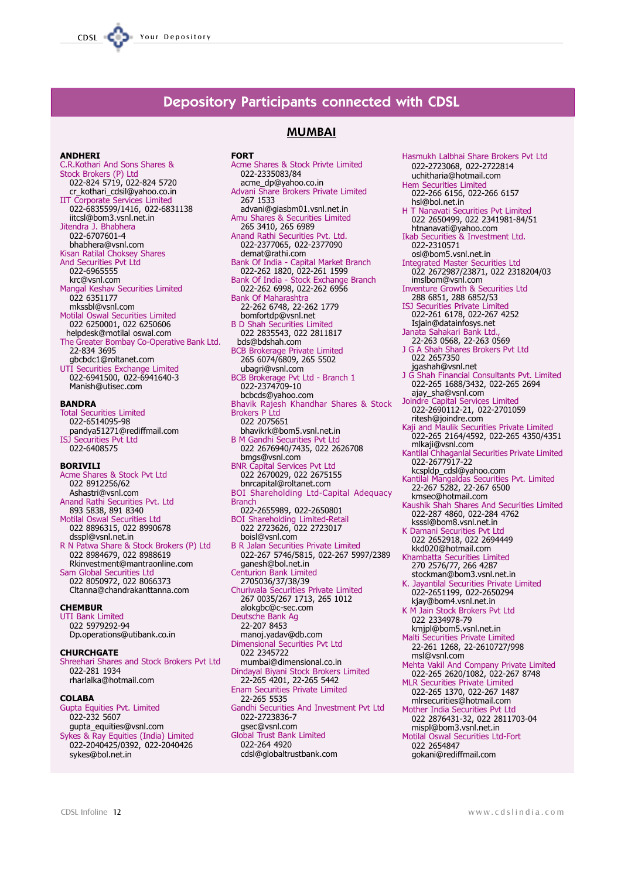# **Depository Participants connected with CDSL**

#### **ANDHERI**

C.R.Kothari And Sons Shares & C.K.Koulari And Sons Shares &<br>Stock Brokers (P) Ltd<br>022-824 5719, 022-824 5720<br>cr\_kothari\_cdsil@yahoo.co.in IIT Corporate Services Limited<br>022-6835599/1416, 022-6831138 iitcsl@bom3.vsnl.net.in litendra 1 Bhabhera 022-6707601-4 bhabhera@vsnl.com Kisan Ratilal Choksey Shares And Securities Pvt Ltd 022-6965555 krc@vsnl.com Mangal Keshav Securities Limited 022 6351177 mkssbl@vsnl.com Motilal Oswal Securities Limited 022 6250001, 022 6250606 helpdesk@motilal oswal.com The Greater Bombay Co-Operative Bank Ltd. 22-834 3695 gbcbdc1@roltanet.com UTI Securities Exchange Limited<br>022-6941500, 022-6941640-3 Manish@utisec.com

#### **BANDRA**

**Total Securities Limited** 022-6514095-98 pandya51271@rediffmail.com<br>ISJ Securities Pvt Ltd 022-6408575

#### **BORIVILI**

Acme Shares & Stock Pvt Ltd<br>022 8912256/62 Ashastri@vsnl.com Anand Rathi Securities Pvt. Ltd 893 5838, 891 8340 Motilal Oswal Securities Ltd<br>022 8896315, 022 8990678 dsspl@vsnl.net.in<br>R N Patwa Share & Stock Brokers (P) Ltd 022 8984679, 022 8988619 Rkinvestment@mantraonline.com Sam Global Securities Ltd 022 8050972, 022 8066373 Cltanna@chandrakanttanna.com

#### **CHEMBUR**

**UTI Bank Limited** 022 5979292-94 Dp.operations@utibank.co.in

#### **CHURCHGATE**

Shreehari Shares and Stock Brokers Pvt Ltd 022-281 1934 rharlalka@hotmail.com

#### COI ARA

Gupta Equities Pvt. Limited 022-232 5607 qupta\_equities@vsnl.com Sykes & Ray Equities (India) Limited 022-2040425/0392, 022-2040426 sykes@bol.net.in

# **MUMBAI**

**FORT** 

Acme Shares & Stock Privte Limited 022-2335083/84 acme\_dp@yahoo.co.in Advani Share Brokers Private Limited  $267$  1533 advani@giasbm01.vsnl.net.in Amu Shares & Securities Limited<br>265 3410, 265 6989 Anand Rathi Securities Pvt. Ltd.<br>022-2377065, 022-2377090 demat@rathi.com emaile Capital Market Branch<br>
022-262 1820, 022-261 1599<br>
Bank Of India - Stock Exchange Branch<br>
022-262 6998, 022-262 6956 **Bank Of Maharashtra** 22-262 6748, 22-262 1779 bomfortdp@vsnl.net **B D Shah Securities Limited** 022 2835543, 022 2811817 bds@bdshah.com **BCB Brokerage Private Limited<br>265 6074/6809, 265 5502** ubagri@vsnl.com BCB Brokerage Pvt Ltd - Branch 1 022-2374709-10 bcbcds@vahoo.com Bhavik Rajesh Khandhar Shares & Stock **Brokers P Ltd** 022 2075651 bhavikrk@bom5.vsnl.net.in B M Gandhi Securities Pvt Ltd 022 2676940/7435, 022 2626708 back 20703 top 7 top, 022 2<br>bmgs@vsnl.com<br>BNR Capital Services Pvt Ltd 022 2670029, 022 2675155 bnrcapital@roltanet.com **BOI Shareholding Ltd-Capital Adequacy Rranch** 022-2655989, 022-2650801<br>BOI Shareholding Limited-Retail<br>022 2723626, 022 2723017 boisl@vsnl.com B R Jalan Securities Private Limited<br>022-267 5746/5815, 022-267 5997/2389 ganesh@bol.net.in **Centurion Bank Limited** 2705036/37/38/39<br>Churiwala Securities Private Limited<br>267 0035/267 1713, 265 1012 alokgbc@c-sec.com Deutsche Bank Ag 22-207 8453 manoj.yadav@db.com Dimensional Securities Pvt Ltd 022 2345722 mumbai@dimensional.co.in Dindayal Biyani Stock Brokers Limited<br>22-265 4201, 22-265 5442 Enam Securities Private Limited 22-265 5535 Gandhi Securities And Investment Pvt Ltd 022-2723836-7 gsec@vsnl.com<br>Global Trust Bank Limited 022-264 4920 cdsl@globaltrustbank.com

Hasmukh Lalbhai Share Brokers Pvt Ltd 022-2723068, 022-2722814 uchitharia@hotmail.com Hem Securities Limited<br>022-266 6156, 022-266 6157 hsl@bol.net.in T Nanavati Securities Pvt Limited н 022 2650499, 022 2341981-84/51 htnanavati@yahoo.com Ikab Securities & Investment Ltd.<br>022-2310571 osl@bom5.vsnl.net.in Integrated Master Securities Ltd<br>022 2672987/23871, 022 2318204/03 imslbom@vsnl.com Inventure Growth & Securities Ltd 288 6851, 288 6852/53 ISJ Securities Private Limited<br>022-261 6178, 022-267 4252 Isjain@datainfosys.net Janata Sahakari Bank Ltd.,<br>22-263 0568, 22-263 0569<br>J G A Shah Shares Brokers Pvt Ltd 022 2657350 vzz, zov. oo.<br>19 Shah Movsnl.net<br>19 Shah Financial Consultants Pvt. Limited<br>19 North 1688/3432, 022-265 2694  $\overline{1}$ ajay\_sha@vsnl.com Joindre Capital Services Limited<br>022-2690112-21, 022-2701059 ritesh@joindre.com Kaji and Maulik Securities Private Limited 022-265 2164/4592, 022-265 4350/4351 mlkaji@vsnl.com Kantilal Chhaganlal Securities Private Limited 022-2677917-22 kcspldp\_cdsl@yahoo.com Kantilal Mangaldas Securities Pvt. Limited<br>22-267 5282, 22-267 6500 kmsec@hotmail.com kmsec@notmail.com<br>Kaushik Shah Shares And Securities Limited<br>022-287 4860, 022-284 4762<br>ksssl@bom8.vsnl.net.in<br>K Damani Securities Pvt Ltd<br>022 2652918, 022 2694449<br>kkd020@hotmail.com<br>Khanbatta Securities Limited<br>270 2576/7 stockman@bom3.vsnl.net.in<br>K. Jayantilal Securities Private Limited 022-2651199, 022-2650294 kjay@bom4.vsnl.net.in K M Jain Stock Brokers Pvt Ltd 022 2334978-79 kmjpl@bom5.vsnl.net.in Malti Securities Private Limited<br>22-261 1268, 22-2610727/998 msl@vsnl.com Mehta Vakil And Company Private Limited<br>022-265 2620/1082, 022-267 8748<br>MLR Securities Private Limited 022-265 1370, 022-267 1487 mirsecurities@hotmail.com<br>Mother India Securities Pvt Ltd<br>022 2876431-32, 022 2811703-04 mispl@bom3.vsnl.net.in Motilal Oswal Securities Ltd-Fort 022 2654847 gokani@rediffmail.com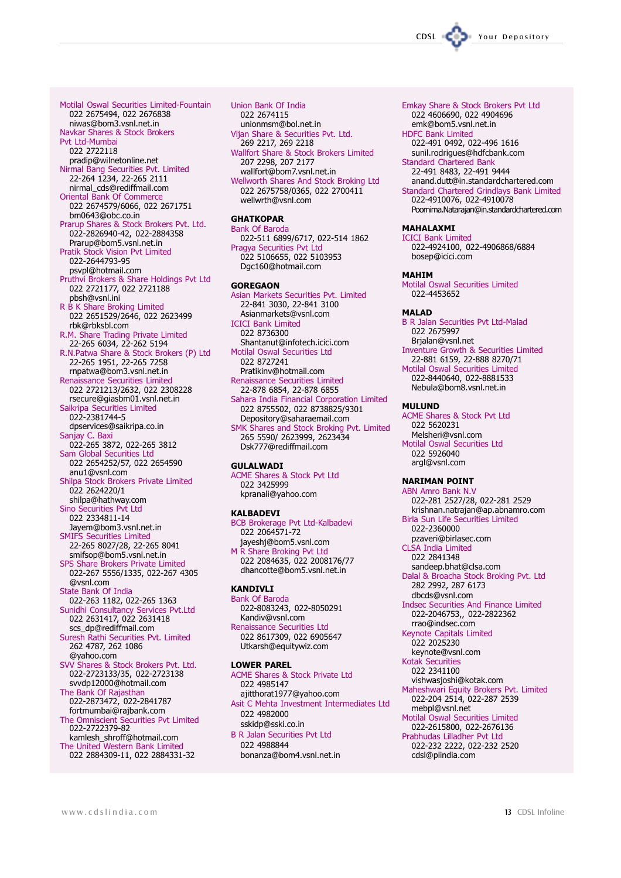Motilal Oswal Securities Limited-Fountain 022 2675494, 022 2676838 niwas@bom3.ysnl.net.in Navkar Shares & Stock Brokers Pvt Ltd-Mumbai 022 2722118 pradip@wilnetonline.net Nirmal Bang Securities Pvt. Limited<br>22-264 1234, 22-265 2111 nirmal cds@rediffmail.com Oriental Bank Of Commerce 022 2674579/6066, 022 2671751 bm0643@obc.co.in Prarup Shares & Stock Brokers Pvt. Ltd. 022-2826940-42, 022-2884358 Prarup@bom5.vsnl.net.in **Pratik Stock Vision Pvt Limited** 022-2644793-95 psypl@hotmail.com Pruthvi Brokers & Share Holdings Pvt Ltd 022 2721177, 022 2721188 pbsh@vsnl.ini R B K Share Broking Limited<br>022 2651529/2646, 022 2623499 rbk@rbksbl.com R.M. Share Trading Private Limited<br>22-265 6034, 22-262 5194 R.N.Patwa Share & Stock Brokers (P) Ltd 22-265 1951, 22-265 7258 rnpatwa@bom3.vsnl.net.in Renaissance Securities Limited 022 2721213/2632, 022 2308228 rsecure@giasbm01.vsnl.net.in Saikripa Securities Limited 022-2381744-5 dpservices@saikripa.co.in Sanjay C. Baxi 022-265 3872, 022-265 3812 Sam Global Securities Ltd 022 2654252/57, 022 2654590 anu1@vsnl.com Shilpa Stock Brokers Private Limited<br>022 2624220/1 shilpa@hathway.com Sino Securities Pvt Ltd 022 2334811-14 Javem@bom3.vsnl.net.in **SMIFS Securities Limited** 22-265 8027/28, 22-265 8041 smifsop@bom5.vsnl.net.in SPS Share Brokers Private Limited 022-267 5556/1335, 022-267 4305 @vsnl.com State Bank Of India 022-263 1182, 022-265 1363 Sunidhi Consultancy Services Pvt.Ltd<br>022 2631417, 022 2631418<br>scs\_dp@rediffmail.com Suresh Rathi Securities Pvt. Limited 262 4787, 262 1086 @yahoo.com SVV Shares & Stock Brokers Pvt. Ltd.<br>022-2723133/35, 022-2723138 svvdp12000@hotmail.com The Bank Of Rajasthan<br>022-2873472, 022-2841787 fortmumbai@rajbank.com The Omniscient Securities Pvt Limited 022-2722379-82 kamlesh shroff@hotmail.com The United Western Bank Limited 022 2884309-11, 022 2884331-32

Union Bank Of India 022 2674115 unionmsm@bol.net.in Vijan Share & Securities Pvt. Ltd. 269 2217, 269 2218 Wallfort Share & Stock Brokers Limited 207 2298, 207 2177 wallfort@bom7.vsnl.net.in Wellworth Shares And Stock Broking Ltd 022 2675758/0365, 022 2700411 wellwrth@vsnl.com

#### **GHATKOPAR Bank Of Baroda** 022-511 6899/6717, 022-514 1862 Pragya Securities Pvt Ltd 022 5106655, 022 5103953 Dqc160@hotmail.com

**GOREGAON** Asian Markets Securities Pvt. Limited 22-841 3030, 22-841 3100 Asianmarkets@vsnl.com **ICICI Bank Limited** 022 8736300 Shantanut@infotech.icici.com Motilal Oswal Securities Ltd 022 8727241 Pratikinv@hotmail.com Renaissance Securities Limited 22-878 6854, 22-878 6855 Sahara India Financial Corporation Limited 022 8755502, 022 8738825/9301 Depository@saharaemail.com SMK Shares and Stock Broking Pyt. Limited 265 5590/ 2623999, 2623434 Dsk777@rediffmail.com

#### **GULALWADI**

**ACME Shares & Stock Pvt Ltd** 022 3425999 kpranali@yahoo.com

#### **KALBADEVI**

BCB Brokerage Pvt Ltd-Kalbadevi 022 2064571-72 jayeshj@bom5.vsnl.com M R Share Broking Pvt Ltd 022 2084635, 022 2008176/77 dhancotte@bom5.vsnl.net.in

### **KANDIVLI**

**Bank Of Baroda** 022-8083243, 022-8050291 Kandiv@vsnl.com Renaissance Securities Ltd 022 8617309, 022 6905647 Utkarsh@equitywiz.com

#### **I OWFR PARFI**

**ACME Shares & Stock Private Ltd** 022 4985147 aiitthorat1977@vahoo.com Asit C Mehta Investment Intermediates Ltd 022 4982000 sskidp@sski.co.in

**B R Jalan Securities Pvt Ltd** 022 4988844 bonanza@bom4.vsnl.net.in

- Emkay Share & Stock Brokers Pvt Ltd 022 4606690, 022 4904696 emk@bom5.vsnl.net.in **HDFC Bank Limited**
- 022-491 0492, 022-496 1616 sunil.rodrigues@hdfcbank.com
- **Standard Chartered Bank** 22-491 8483, 22-491 9444 anand.dutt@in.standardchartered.com
- Standard Chartered Grindlays Bank Limited 022-4910076, 022-4910078 Poornima.Natarajan@in.standardchartered.com

#### **MAHALAXMI**

CDSL

**ICICI Bank Limited** 022-4924100, 022-4906868/6884 bosep@icici.com

#### **MAHTM**

Motilal Oswal Securities Limited 022-4453652

#### **MALAD**

**B R Jalan Securities Pvt Ltd-Malad** 022 2675997 Brialan@vsnl.net **Inventure Growth & Securities Limited** 

22-881 6159, 22-888 8270/71 Motilal Oswal Securities Limited 022-8440640, 022-8881533 Nebula@bom8.vsnl.net.in

#### **MULUND**

**ACME Shares & Stock Pvt Ltd** 022 5620231 Melsheri@vsnl.com **Motilal Oswal Securities Ltd** 022 5926040 argl@vsnl.com

#### **NARIMAN POINT**

ABN Amro Bank N.V 022-281 2527/28, 022-281 2529 krishnan.natrajan@ap.abnamro.com **Birla Sun Life Securities Limited** 022-2360000 pzaveri@birlasec.com **CLSA India Limited** 022 2841348 sandeep.bhat@clsa.com Dalal & Broacha Stock Broking Pvt. Ltd 282 2992, 287 6173 dbcds@vsnl.com **Indsec Securities And Finance Limited** 022-2046753,, 022-2822362 rrao@indsec.com **Keynote Capitals Limited** 022 2025230 keynote@vsnl.com **Kotak Securities** 022 2341100 vishwasjoshi@kotak.com Maheshwari Equity Brokers Pvt. Limited 022-204 2514, 022-287 2539 mebpl@vsnl.net Motilal Oswal Securities Limited 022-2615800, 022-2676136 Prabhudas Lilladher Pvt Ltd 022-232 2222, 022-232 2520 cdsl@plindia.com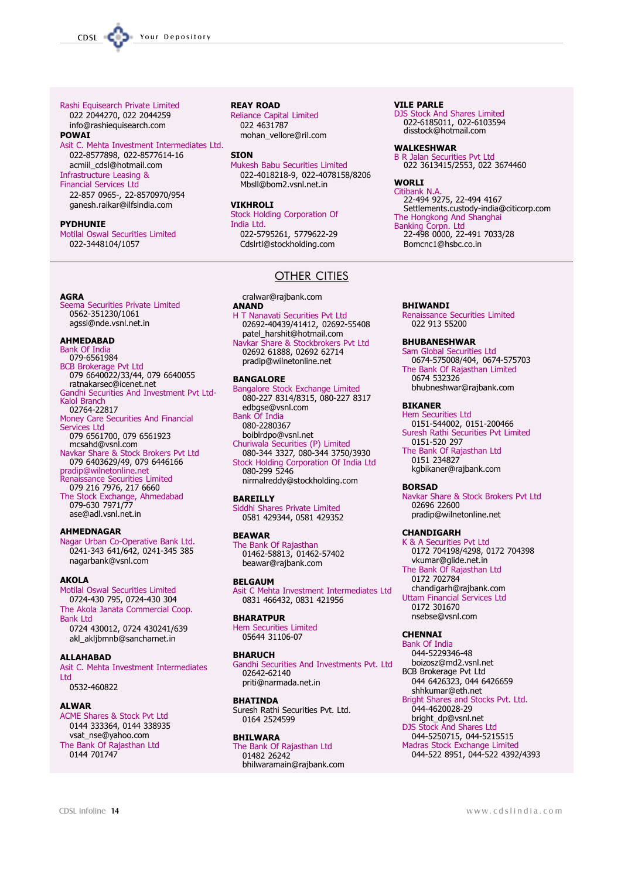#### Rashi Equisearch Private Limited

022 2044270, 022 2044259 info@rashiequisearch.com **POWAI** 

Asit C. Mehta Investment Intermediates Ltd. 022-8577898, 022-8577614-16 acmiil cdsl@hotmail.com **Infrastructure Leasing &** 

#### **Financial Services Ltd**

22-857 0965-, 22-8570970/954 ganesh.raikar@ilfsindia.com

#### **PYDHUNIE**

**AGRA** 

Motilal Oswal Securities Limited 022-3448104/1057

Seema Securities Private Limited

079 6640022/33/44, 079 6640055<br>Tatnakarsec@icenet.net

Money Care Securities And Financial

Navkar Share & Stock Brokers Pvt Ltd

079 6403629/49, 079 6446166

Nagar Urban Co-Operative Bank Ltd.

0241-343 641/642, 0241-345 385

079 6561700, 079 6561923

Renaissance Securities Limited

079 216 7976, 217 6660 The Stock Exchange, Ahmedabad<br>079-630 7971/77

Gandhi Securities And Investment Pvt Ltd-

0562-351230/1061

ΔΗΜΕΩΔΒΑΩ

**Bank Of India** 

Kalol Branch

Services Ltd

079-6561984

02764-22817

mcsahd@vsnl.com

pradip@wilnetonline.net

ase@adl vsnl net in

nagarbank@vsnl.com

Motilal Oswal Securities Limited

0724-430 795, 0724-430 304

The Akola Janata Commercial Coop.

0724 430012, 0724 430241/639

Asit C. Mehta Investment Intermediates

akl aklibmnb@sancharnet.in

ACME Shares & Stock Pvt Ltd

vsat nse@vahoo.com

The Bank Of Rajasthan Ltd

0144 333364, 0144 338935

**AHMEDNAGAR** 

**AKOLA** 

**Bank Ltd** 

**I** td

**ALWAR** 

**ALLAHABAD** 

0532-460822

0144 701747

agssi@nde vsnl net in

**REAY ROAD** 

Reliance Capital Limited 022 4631787 mohan vellore@ril.com

#### **SION**

Mukesh Babu Securities Limited 022-4018218-9, 022-4078158/8206 Mbsll@hom2.vsnl.net.in

#### **VIKHROLI**

**Stock Holding Corporation Of** India Ltd. 022-5795261, 5779622-29

Cdslrtl@stockholding.com

### **OTHER CITIES**

cralwar@rajbank.com

### **ANAND**

H T Nanavati Securities Pvt Ltd 02692-40439/41412, 02692-55408 patel harshit@hotmail.com

Navkar Share & Stockbrokers Pvt Ltd<br>02692 61888, 02692 62714 pradip@wilnetonline.net

#### **BANGALORE**

**Bangalore Stock Exchange Limited** 080-227 8314/8315, 080-227 8317 edbase@vsnl.com

**Bank Of India** 

080-2280367

boiblrdpo@vsnl.net Churiwala Securities (P) Limited 080-344 3327, 080-344 3750/3930 Stock Holding Corporation Of India Ltd 080-299 5246

nirmalreddy@stockholding.com

#### **BAREILLY**

Siddhi Shares Private Limited 0581 429344, 0581 429352

#### **BFAWAR**

The Bank Of Rajasthan 01462-58813, 01462-57402 beawar@rajbank.com

#### **BELGAUM**

Asit C Mehta Investment Intermediates Ltd 0831 466432, 0831 421956

#### **BHARATPUR**

Hem Securities Limited<br>05644 31106-07

#### **BHARUCH**

Gandhi Securities And Investments Pvt. Ltd 02642-62140 priti@narmada.net.in

#### **BHATINDA**

Suresh Rathi Securities Pvt. Ltd. 0164 2524599

#### **BHILWARA**

The Bank Of Rajasthan Ltd 01482 26242 bhilwaramain@rajbank.com

#### **VILE PARLE**

DJS Stock And Shares Limited 022-6185011, 022-6103594 disstock@hotmail.com

#### **WAI KESHWAR**

**B.R. Jalan Securities Pvt Ltd** 022 3613415/2553, 022 3674460

#### **WORLI**

Citibank N.A abarik N.A.<br>22-494 9275, 22-494 4167<br>Settlements.custody-india@citicorp.com The Hongkong And Shanghai<br>Banking Corpn. Ltd<br>22-498 0000, 22-491 7033/28 Bomcnc1@hsbc.co.in

#### **RHTWANDI**

Renaissance Securities Limited<br>022 913 55200

#### **BHUBANESHWAR**

Sam Global Securities Ltd 0674-575008/404, 0674-575703 The Bank Of Rajasthan Limited 0674 532326 bhubneshwar@rajbank.com

#### **BIKANER**

**Hem Securities Ltd** 0151-544002, 0151-200466

Suresh Rathi Securities Pvt Limited 0151-520 297

The Bank Of Rajasthan Ltd 0151 234827 kgbikaner@rajbank.com

#### **BORSAD**

Navkar Share & Stock Brokers Pvt Ltd 02696 22600 pradip@wilnetonline.net

#### **CHANDIGARH**

K & A Securities Pvt Ltd 0172 704198/4298, 0172 704398 vkumar@glide.net.in The Bank Of Rajasthan Ltd 0172 702784 chandigarh@rajbank.com

**Uttam Financial Services Ltd** 0172 301670 nsebse@vsnl com

### **CHENNAI**

Bank Of India 044-5229346-48 boizosz@md2.vsnl.net **BCB Brokerage Pvt Ltd** 044 6426323, 044 6426659 shhkumar@eth.net Bright Shares and Stocks Pvt. Ltd. 044-4620028-29 bright dp@vsnl.net DIS Stock And Shares Ltd 044-5250715, 044-5215515 Madras Stock Exchange Limited 044-522 8951, 044-522 4392/4393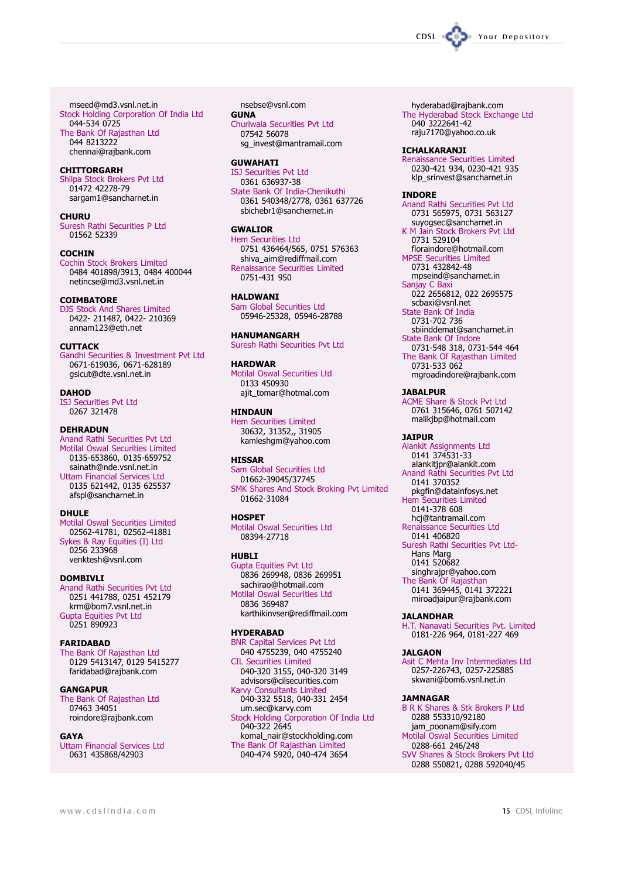mseed@md3.vsnl.net.in Stock Holding Corporation Of India Ltd 044-534 0725 The Bank Of Rajasthan Ltd 044 8213222 chennai@rajbank.com

#### **CHITTORGARH**

Shilpa Stock Brokers Pvt Ltd<br>01472 42278-79 sargam1@sancharnet.in

#### CHURU

Suresh Rathi Securities P Ltd 01562 52339

#### **COCHIN**

Cochin Stock Brokers Limited 0484 401898/3913, 0484 400044 netincse@md3.vsnl.net.in

#### **COTMBATORF**

DJS Stock And Shares Limited 0422-211487, 0422-210369 annam123@eth.net

#### **CUTTACK**

Gandhi Securities & Investment Pvt Ltd 0671-619036, 0671-628189 asicut@dte.vsnl.net.in

#### **DAHOD**

**ISJ Securities Pvt Ltd** 0267 321478

#### **DEHRADUN**

Anand Rathi Securities Pvt Ltd Analytical Securities Limited<br>Motilal Oswal Securities Limited<br>0135-653860, 0135-659752 sainath@nde.vsnl.net.in **Uttam Financial Services Ltd** 0135 621442, 0135 625537 afspl@sancharnet.in

#### **DHULF**

Motilal Oswal Securities Limited 02562-41781, 02562-41881 Sykes & Ray Equities (I) Ltd 0256 233968 venktesh@vsnl.com

#### **DOMBTVLT**

Anand Rathi Securities Pvt Ltd 0251 441788, 0251 452179 krm@bom7.vsnl.net.in<br>Gupta Equities Pvt Ltd 0251 890923

#### **FARIDABAD**

The Bank Of Rajasthan Ltd community<br>0129 5413147, 0129 5415277<br>faridabad@rajbank.com

#### **GANGAPUR**

The Bank Of Rajasthan Ltd 07463 34051 roindore@rajbank.com

#### **GAYA**

**Uttam Financial Services Ltd** 0631 435868/42903

nsebse@vsnl.com

#### **GUNA**

Churiwala Securities Pvt Ltd 07542 56078 sq\_invest@mantramail.com

#### **GUWAHATI**

**ISJ Securities Pvt Ltd** 0361 636937-38 State Bank Of India-Chenikuthi 0361 540348/2778, 0361 637726 sbichebr1@sanchernet.in

#### **GWAI TOR**

**Hem Securities Ltd** 0751 436464/565, 0751 576363<br>shiva\_aim@rediffmail.com **Renaissance Securities Limited** 0751-431 950

#### **HAI DWANT**

Sam Global Securities Ltd 05946-25328, 05946-28788

**HANUMANGARH** Suresh Rathi Securities Pvt Ltd

#### **HARDWAR**

Motilal Oswal Securities Ltd 0133 450930 ajit\_tomar@hotmal.com

**HINDAUN Hem Securities Limited** 30632, 31352,, 31905

kamleshqm@yahoo.com

#### **HISSAR**

Sam Global Securities Ltd 01662-39045/37745 SMK Shares And Stock Broking Pvt Limited 01662-31084

#### **HOSPFT**

Motilal Oswal Securities Ltd 08394-27718

#### **HURLT**

**Gupta Equities Pyt Ltd** 0836 269948, 0836 269951 sachirao@hotmail.com Motilal Oswal Securities Ltd 0836 369487 karthikinvser@rediffmail.com

#### **HYDERABAD**

**BNR Capital Services Pvt Ltd** 040 4755239, 040 4755240 **CIL Securities Limited** 040-320 3155, 040-320 3149 advisors@cilsecurities.com Karvy Consultants Limited 040-332 5518, 040-331 2454 um.sec@karvy.com Stock Holding Corporation Of India Ltd 040-322 2645 komal\_nair@stockholding.com The Bank Of Rajasthan Limited 040-474 5920, 040-474 3654

hyderabad@rajbank.com The Hyderabad Stock Exchange Ltd<br>040 3222641-42 raju7170@yahoo.co.uk

#### **ICHALKARANJI**

Renaissance Securities Limited<br>0230-421 934, 0230-421 935 klp\_srinvest@sancharnet.in

#### **INDORE**

Anand Rathi Securities Pvt Ltd 0731 565975, 0731 563127 suyogsec@sancharnet.in K M Jain Stock Brokers Pvt Ltd 0731 529104 floraindore@hotmail.com

MPSE Securities Limited 0731 432842-48

mpseind@sancharnet.in Sanjay C Baxi<br>
022 2656812, 022 2695575

scbaxi@vsnl.net

State Bank Of India<br>0731-702 736 sbiinddemat@sancharnet.in

State Bank Of Indore 0731-548 318, 0731-544 464

The Bank Of Rajasthan Limited 0731-533 062 mgroadindore@rajbank.com

**JABALPUR** 

**ACME Share & Stock Pvt Ltd** 0761 315646, 0761 507142 malikjbp@hotmail.com

#### **JAIPUR**

Alankit Assignments Ltd<br>0141 374531-33 alankitjpr@alankit.com Anand Rathi Securities Pvt Ltd 0141 370352 pkgfin@datainfosys.net **Hem Securities Limited** 0141-378 608 hcj@tantramail.com Renaissance Securities Ltd 0141 406820 Suresh Rathi Securities Pvt Ltd-Hans Marq 0141 520682 singhrajpr@yahoo.com The Bank Of Rajasthan 0141 369445, 0141 372221

miroadjaipur@rajbank.com

#### **JALANDHAR**

H.T. Nanavati Securities Pvt. Limited 0181-226 964, 0181-227 469

#### **JALGAON**

Asit C Mehta Inv Intermediates Ltd 0257-226743, 0257-225885 sas: ass: .s, sas: assex<br>skwani@bom6.vsnl.net.in

#### **JAMNAGAR**

**B R K Shares & Stk Brokers P Ltd** 0288 553310/92180 jam\_poonam@sify.com Motilal Oswal Securities Limited

0288-661 246/248 SVV Shares & Stock Brokers Pvt Ltd 0288 550821, 0288 592040/45

CDSL Your Depository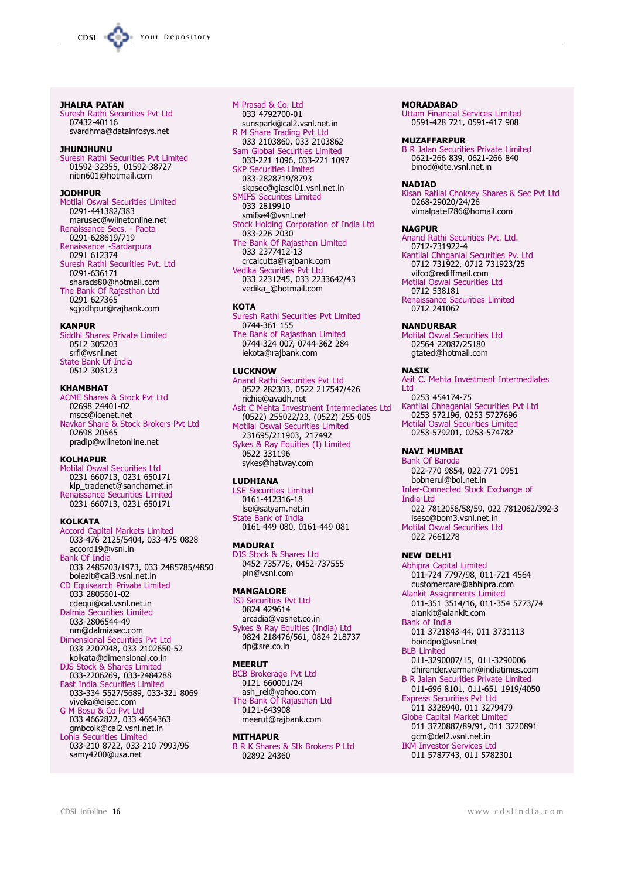

**JHALRA PATAN** Suresh Rathi Securities Pvt Ltd

07432-40116 svardhma@datainfosys.net

#### **JHUNJHUNU**

Suresh Rathi Securities Pvt Limited 01592-32355, 01592-38727 nitin601@hotmail.com

#### **10DHPIIR**

Motilal Oswal Securities Limited 0291-441382/383 marusec@wilnetonline.net Renaissance Secs. - Paota 0291-628619/719 Renaissance -Sardarpura 0291 612374 Suresh Rathi Securities Pvt. Ltd 0291-636171 sharads80@hotmail.com<br>The Bank Of Rajasthan Ltd 0291 627365 sgjodhpur@rajbank.com

#### **KANPIIR**

Siddhi Shares Private Limited 0512 305203 srfl@vsnl.net State Bank Of India 0512 303123

#### **KHAMBHAT**

**ACME Shares & Stock Pvt Ltd** 02698 24401-02 mscs@icenet.net Navkar Share & Stock Brokers Pvt Ltd 02698 20565 pradip@wilnetonline.net

#### **KOLHAPUR**

Motilal Oswal Securities Ltd 0231 660713, 0231 650171 klp\_tradenet@sancharnet.in Renaissance Securities Limited 0231 660713, 0231 650171

#### **KOI KATA**

Accord Capital Markets Limited<br>033-476 2125/5404, 033-475 0828 accord19@vsnl.in **Bank Of India** 033 2485703/1973, 033 2485785/4850 boiezit@cal3.vsnl.net.in CD Equisearch Private Limited 033 2805601-02 cdequi@cal.vsnl.net.in Dalmia Securities Limited 033-2806544-49 nm@dalmiasec.com Dimensional Securities Pvt Ltd 033 2207948, 033 2102650-52 kolkata@dimensional.co.in Stock & Shares Limited **DJS** 033-2206269, 033-2484288<br>East India Securities Limited<br>033-334 5527/5689, 033-321 8069 viveka@eisec.com G M Bosu & Co Pvt Ltd 033 4662822, 033 4664363<br>gmbcolk@cal2.vsnl.net.in Lohia Securities Limited 033-210 8722, 033-210 7993/95 samy4200@usa.net

M Prasad & Co. Ltd 033 4792700-01 sunspark@cal2.vsnl.net.in R M Share Trading Pvt Ltd<br>033 2103860, 033 2103862 Sam Global Securities Limited 033-221 1096, 033-221 1097 **SKP Securities Limited** 033-2828719/8793 skpsec@giascl01.vsnl.net.in **SMIFS Securites Limited** 033 2819910 smifse4@vsnl.net Stock Holding Corporation of India Ltd 033-226 2030 The Bank Of Rajasthan Limited 033 2377412-13 crcalcutta@rajbank.com Vedika Securities Pvt Ltd<br>033 2231245, 033 2233642/43 vedika\_@hotmail.com **KOTA** 

Suresh Rathi Securities Pvt Limited 0744-361 155 The Bank of Rajasthan Limited<br>0744-324 007, 0744-362 284 iekota@rajbank.com

#### **LUCKNOW**

Anand Rathi Securities Pvt Ltd 0522 282303, 0522 217547/426 richie@avadh.net Asit C Mehta Investment Intermediates Ltd  $(0522)$  255022/23,  $(0522)$  255 005 Motilal Oswal Securities Limited 231695/211903, 217492 Sykes & Ray Equities (I) Limited<br>0522 331196 sykes@hatway.com

#### **LUDHIANA**

**LSE Securities Limited** 0161-412316-18 Ise@satyam.net.in State Bank of India 0161-449 080, 0161-449 081

#### **MADURAI**

DJS Stock & Shares Ltd 0452-735776, 0452-737555 pln@vsnl.com

#### **MANGALORE**

**ISJ Securities Pvt Ltd** 0824 429614 arcadia@vasnet.co.in Sykes & Ray Equities (India) Ltd 0824 218476/561, 0824 218737 dp@sre.co.in

#### **MEERUT**

**BCB Brokerage Pvt Ltd** 0121 660001/24 ash\_rel@yahoo.com The Bank Of Rajasthan Ltd 0121-643908 meerut@rajbank.com

#### **MITHAPUR**

**B R K Shares & Stk Brokers P Ltd** 02892 24360

#### **MORADABAD**

**Uttam Financial Services Limited** 0591-428 721, 0591-417 908

#### **MUZAFFARPUR**

B R Jalan Securities Private Limited<br>0621-266 839, 0621-266 840 binod@dte.vsnl.net.in

#### **NADIAD**

Kisan Ratilal Choksey Shares & Sec Pyt Ltd 0268-29020/24/26 vimalpatel786@homail.com

#### **NAGPUR**

Anand Rathi Securities Pyt. Ltd. 0712-731922-4

Kantilal Chhqanlal Securities Pv. Ltd 0712 731922, 0712 731923/25 vifco@rediffmail.com

**Motilal Oswal Securities Ltd** 0712 538181

Renaissance Securities Limited 0712 241062

#### **NANDURRAR**

Motilal Oswal Securities Ltd<br>02564 22087/25180 gtated@hotmail.com

#### **NASTK**

Asit C. Mehta Investment Intermediates I td 0253 454174-75 Kantilal Chhaganlal Securities Pvt Ltd<br>0253 572196, 0253 5727696

Motilal Oswal Securities Limited<br>0253-579201, 0253-574782

#### **NAVI MUMBAI**

**Bank Of Baroda** 022-770 9854, 022-771 0951 bobnerul@bol.net.in Inter-Connected Stock Exchange of India Ltd 022 7812056/58/59, 022 7812062/392-3 isesc@bom3.vsnl.net.in Motilal Oswal Securities Ltd 022 7661278

#### **NEW DELHI**

Abhipra Capital Limited 011-724 7797/98, 011-721 4564 customercare@abhipra.com Alankit Assignments Limited 011-351 3514/16, 011-354 5773/74 alankit@alankit.com **Bank of India** 011 3721843-44, 011 3731113 boindpo@ysnl.net **BI B Limited** 011-3290007/15, 011-3290006 dhirender.verman@indiatimes.com **B R Jalan Securities Private Limited** 011-696 8101, 011-651 1919/4050 **Express Securities Pvt Ltd** 011 3326940, 011 3279479 **Globe Capital Market Limited** 011 3720887/89/91, 011 3720891

gcm@del2.vsnl.net.in **IKM Investor Services Ltd** 011 5787743, 011 5782301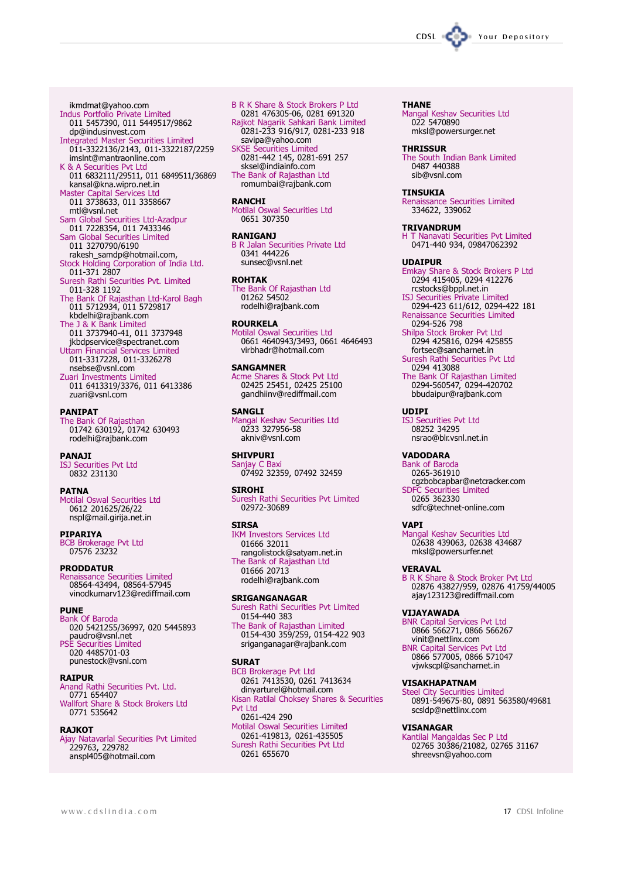

ikmdmat@yahoo.com Indus Portfolio Private Limited 011 5457390, 011 5449517/9862<br>dp@indusinvest.com **Integrated Master Securities Limited** 011-3322136/2143, 011-3322187/2259 imsInt@mantraonline.com K & A Securities Pvt Ltd 011 6832111/29511, 011 6849511/36869 kansal@kna.wipro.net.in<br>Master Capital Services Ltd 011 3738633, 011 3358667 mtl@vsnl.net sam Global Securities Ltd-Azadpur<br>011 7228354, 011 7433346<br>Sam Global Securities Limited 011 3270790/6190 rakesh\_samdp@hotmail.com,

- Stock Holding Corporation of India Ltd.<br>011-371 2807 Suresh Rathi Securities Pvt. Limited 011-328 1192
- The Bank Of Rajasthan Ltd-Karol Bagh<br>011 5712934, 011 5729817 kbdelhi@rajbank.com
- The J & K Bank Limited 011 3737940-41, 011 3737948 jkbdpservice@spectranet.com
- Uttam Financial Services Limited<br>011-3317228, 011-3326278 nsebse@vsnl.com Zuari Investments Limited
- 011 6413319/3376, 011 6413386 zuari@vsnl.com

### **PANIPAT**

The Bank Of Rajasthan 01742 630192, 01742 630493 rodelhi@rajbank.com

#### **PANAJI**

**ISJ Securities Pvt Ltd** 0832 231130

#### **PATNA**

Motilal Oswal Securities Ltd 0612 201625/26/22 nspl@mail.girija.net.in

**PIPARIYA BCB Brokerage Pvt Ltd**<br>07576 23232

#### **PRODDATUR**

Processor Contributes Limited<br>08564-43494, 08564-57945<br>vinodkumarv123@rediffmail.com

#### **PUNE**

**Bank Of Baroda** bank or ban oan<br>
020 5421255/36997, 020 5445893<br>
paudro@vsnl.net<br>
PSE Securities Limited 020 4485701-03 punestock@vsnl.com

#### **RAIPUR**

Anard Rathi Securities Pvt. Ltd.<br>0771 654407<br>Wallfort Share & Stock Brokers Ltd 0771 535642

#### **RAJKOT**

Ajay Natavarlal Securities Pvt Limited<br>229763, 229782 anspl405@hotmail.com

**B R K Share & Stock Brokers P Ltd** 0281 476305-06, 0281 691320<br>Rajkot Nagarik Sahkari Bank Limited 0281-233 916/917, 0281-233 918 savipa@yahoo.com **SKSE Securities Limited** 0281-442 145, 0281-691 257 sksel@indiainfo.com

The Bank of Rajasthan Ltd romumbai@rajbank.com

#### **RANCHI**

Motilal Oswal Securities Ltd 0651 307350

# **RANIGANJ**

**B R Jalan Securities Private Ltd** 0341 444226 sunsec@vsnl.net

#### **ROHTAK**

The Bank Of Rajasthan Ltd 01262 54502 rodelhi@rajbank.com

#### **ROURKELA**

Motilal Oswal Securities Ltd 0661 4640943/3493, 0661 4646493 virbhadr@hotmail.com

#### **SANGAMNER**

Acme Shares & Stock Pvt Ltd 02425 25451, 02425 25100 gandhiinv@rediffmail.com

### **SANGLT**

Mangal Keshav Securities Ltd 0233 327956-58 akniv@vsnl.com

# **CHTVDLIDT**

Sanjay C Baxi 07492 32359, 07492 32459

#### **STROHT**

Suresh Rathi Securities Pyt Limited 02972-30689

#### **SIRSA**

**IKM Investors Services Ltd** 01666 32011 rangolistock@satyam.net.in The Bank of Rajasthan Ltd 01666 20713 rodelhi@raibank.com

### **SRIGANGANAGAR**

Suresh Rathi Securities Pvt Limited<br>0154-440 383 The Bank of Rajasthan Limited

0154-430 359/259, 0154-422 903 sriganganagar@rajbank.com

### **SURAT**

**BCB Brokerage Pvt Ltd** 0261 7413530, 0261 7413634 dinyarturel@hotmail.com Kisan Ratilal Choksey Shares & Securities **Pvt Ltd** 0261-424 290 Motilal Oswal Securities Limited 0261-419813, 0261-435505 Suresh Rathi Securities Pvt Ltd 0261 655670

#### **THANE**

Mangal Keshav Securities Ltd 022 5470890 mksl@powersurger.net

#### **THRISSUR**

The South Indian Bank Limited 0487 440388 sib@vsnl.com

#### **TINSUKIA**

Renaissance Securities Limited 334622, 339062

#### **TRIVANDRUM**

T Nanavati Securities Pvt Limited<br>0471-440 934, 09847062392

#### **UDAIPUR**

- Emkay Share & Stock Brokers P Ltd<br>0294 415405, 0294 412276<br>rcstocks@bppl.net.in
- ISJ Securities Private Limited 0294-423 611/612, 0294-422 181 Renaissance Securities Limited<br>0294-526 798

Shilpa Stock Broker Pvt Ltd 0294 425816, 0294 425855

fortsec@sancharnet.in Suresh Rathi Securities Pvt Ltd<br>0294 413088

The Bank Of Rajasthan Limited<br>0294-560547, 0294-420702 bbudaipur@rajbank.com

**IIDIPI IS1 Securities Pvt Ltd** 08252 34295

nsrao@blr.vsnl.net.in

#### **VADODARA**

Bank of Baroda<br>0265-361910 cgzbobcapbar@netcracker.com **SDFC Securities Limited** 0265362330 sdfc@technet-online.com

#### **VAPT**

Mangal Keshav Securities Ltd<br>02638 439063, 02638 434687 mksl@powersurfer.net

#### **VERAVAL**

B R K Share & Stock Broker Pvt Ltd<br>02876 43827/959, 02876 41759/44005 ajay123123@rediffmail.com

#### VIJAYAWADA

**BNR Capital Services Pvt Ltd<br>0866 566271, 0866 566267** vinit@nettlinx.com

BNR Capital Services Pvt Ltd<br>0866 577005, 0866 571047 vjwkscpl@sancharnet.in

#### **VISAKHAPATNAM**

Steel City Securities Limited<br>0891-549675-80, 0891 563580/49681 scsIdp@nettlinx.com

#### **VISANAGAR**

Kantilal Mangaldas Sec P Ltd 02765 30386/21082, 02765 31167 shreevsn@yahoo.com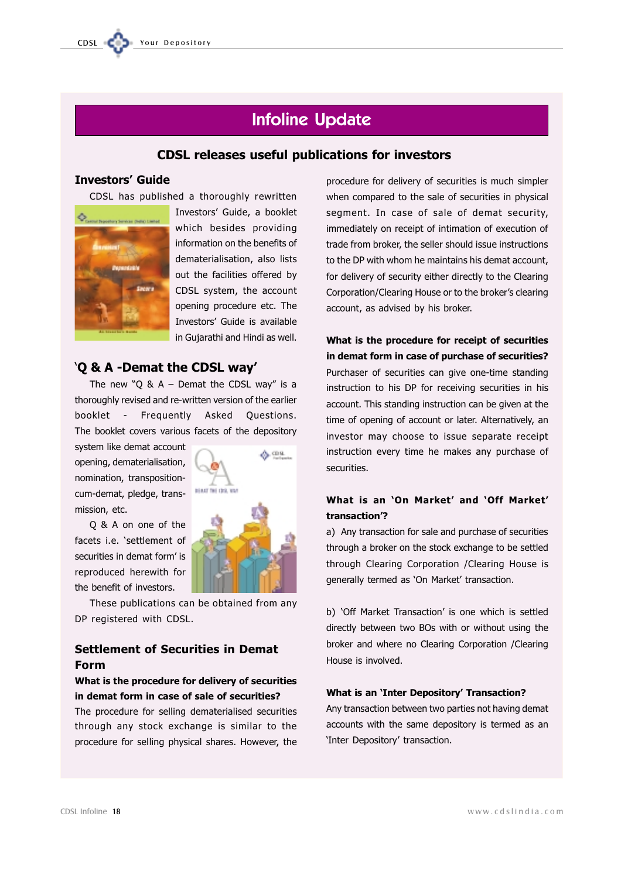

# **Infoline Update**

# **CDSL releases useful publications for investors**

# **Investors' Guide**

CDSL has published a thoroughly rewritten



Investors' Guide, a booklet which besides providing information on the benefits of dematerialisation, also lists out the facilities offered by CDSL system, the account opening procedure etc. The Investors' Guide is available in Gujarathi and Hindi as well.

# 'O & A -Demat the CDSL way'

The new "Q & A - Demat the CDSL way" is a thoroughly revised and re-written version of the earlier booklet - Frequently Asked Questions. The booklet covers various facets of the depository

system like demat account opening, dematerialisation, nomination, transpositioncum-demat, pledge, transmission, etc.

Q & A on one of the facets i.e. 'settlement of securities in demat form' is reproduced herewith for the benefit of investors.

These publications can be obtained from any DP registered with CDSL.

# **Settlement of Securities in Demat Form**

# What is the procedure for delivery of securities in demat form in case of sale of securities?

The procedure for selling dematerialised securities through any stock exchange is similar to the procedure for selling physical shares. However, the

procedure for delivery of securities is much simpler when compared to the sale of securities in physical seament. In case of sale of demat security, immediately on receipt of intimation of execution of trade from broker, the seller should issue instructions to the DP with whom he maintains his demat account. for delivery of security either directly to the Clearing Corporation/Clearing House or to the broker's clearing account, as advised by his broker.

What is the procedure for receipt of securities in demat form in case of purchase of securities? Purchaser of securities can give one-time standing instruction to his DP for receiving securities in his account. This standing instruction can be given at the time of opening of account or later. Alternatively, an investor may choose to issue separate receipt instruction every time he makes any purchase of securities.

# What is an 'On Market' and 'Off Market' transaction'?

a) Any transaction for sale and purchase of securities through a broker on the stock exchange to be settled through Clearing Corporation / Clearing House is generally termed as 'On Market' transaction.

b) 'Off Market Transaction' is one which is settled directly between two BOs with or without using the broker and where no Clearing Corporation /Clearing House is involved.

### **What is an 'Inter Depository' Transaction?**

Any transaction between two parties not having demat accounts with the same depository is termed as an 'Inter Depository' transaction.

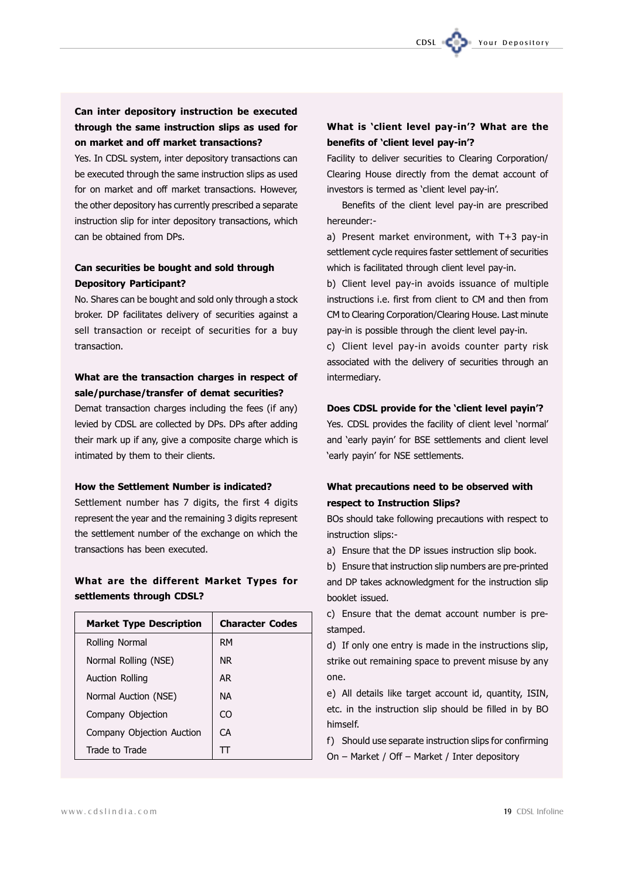Yes. In CDSL system, inter depository transactions can be executed through the same instruction slips as used for on market and off market transactions. However, the other depository has currently prescribed a separate instruction slip for inter depository transactions, which can be obtained from DPs.

# Can securities be bought and sold through **Depository Participant?**

No. Shares can be bought and sold only through a stock broker. DP facilitates delivery of securities against a sell transaction or receipt of securities for a buy transaction.

# What are the transaction charges in respect of sale/purchase/transfer of demat securities?

Demat transaction charges including the fees (if any) levied by CDSL are collected by DPs. DPs after adding their mark up if any, give a composite charge which is intimated by them to their clients.

### How the Settlement Number is indicated?

Settlement number has 7 digits, the first 4 digits represent the year and the remaining 3 digits represent the settlement number of the exchange on which the transactions has been executed.

# What are the different Market Types for settlements through CDSL?

| <b>Market Type Description</b> | <b>Character Codes</b> |
|--------------------------------|------------------------|
| Rolling Normal                 | <b>RM</b>              |
| Normal Rolling (NSE)           | NR.                    |
| Auction Rolling                | AR                     |
| Normal Auction (NSE)           | <b>NA</b>              |
| Company Objection              | CO                     |
| Company Objection Auction      | CА                     |
| Trade to Trade                 |                        |

# What is 'client level pay-in'? What are the benefits of 'client level pay-in'?

CDSL

Your Depository

Facility to deliver securities to Clearing Corporation/ Clearing House directly from the demat account of investors is termed as 'client level pay-in'.

Benefits of the client level pay-in are prescribed hereunder:-

a) Present market environment, with T+3 pay-in settlement cycle requires faster settlement of securities which is facilitated through client level pay-in.

b) Client level pay-in avoids issuance of multiple instructions i.e. first from client to CM and then from CM to Clearing Corporation/Clearing House. Last minute pay-in is possible through the client level pay-in.

c) Client level pay-in avoids counter party risk associated with the delivery of securities through an intermediary.

### Does CDSL provide for the 'client level payin'?

Yes. CDSL provides the facility of client level 'normal' and 'early payin' for BSE settlements and client level 'early payin' for NSE settlements.

# What precautions need to be observed with respect to Instruction Slips?

BOs should take following precautions with respect to instruction slips:-

a) Ensure that the DP issues instruction slip book.

b) Ensure that instruction slip numbers are pre-printed and DP takes acknowledgment for the instruction slip booklet issued.

c) Ensure that the demat account number is prestamped.

d) If only one entry is made in the instructions slip, strike out remaining space to prevent misuse by any one.

e) All details like target account id, quantity, ISIN, etc. in the instruction slip should be filled in by BO himself.

f) Should use separate instruction slips for confirming On - Market / Off - Market / Inter depository